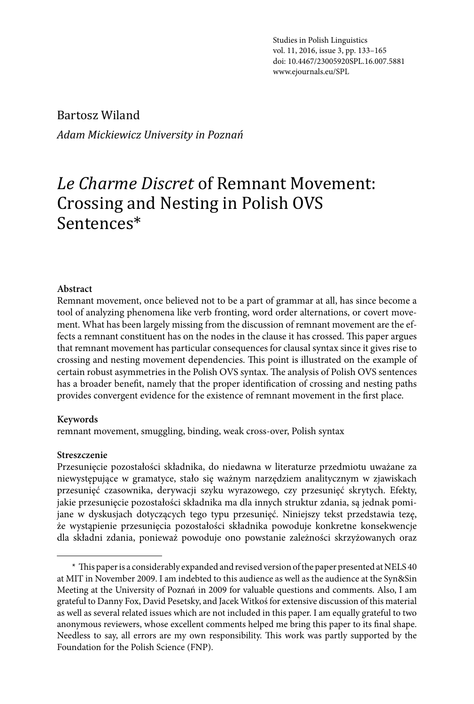Studies in Polish Linguistics vol. 11, 2016, issue 3, pp. 133–133 vol. 11, 2016, issue 3, pp. 133–165<br>doi: 10.4467/23005920SPL.16.007.5881 www.ejournals.eu/SPL

Bartosz Wiland *Adam Mickiewicz University in Poznań*

# *Le Charme Discret* of Remnant Movement: Crossing and Nesting in Polish OVS Sentences\*

#### **Abstract**

Remnant movement, once believed not to be a part of grammar at all, has since become a tool of analyzing phenomena like verb fronting, word order alternations, or covert movement. What has been largely missing from the discussion of remnant movement are the effects a remnant constituent has on the nodes in the clause it has crossed. This paper argues that remnant movement has particular consequences for clausal syntax since it gives rise to crossing and nesting movement dependencies. This point is illustrated on the example of certain robust asymmetries in the Polish OVS syntax. The analysis of Polish OVS sentences has a broader benefit, namely that the proper identification of crossing and nesting paths provides convergent evidence for the existence of remnant movement in the first place.

#### **Keywords**

remnant movement, smuggling, binding, weak cross-over, Polish syntax

#### **Streszczenie**

Przesunięcie pozostałości składnika, do niedawna w literaturze przedmiotu uważane za niewystępujące w gramatyce, stało się ważnym narzędziem analitycznym w zjawiskach przesunięć czasownika, derywacji szyku wyrazowego, czy przesunięć skrytych. Efekty, jakie przesunięcie pozostałości składnika ma dla innych struktur zdania, są jednak pomijane w dyskusjach dotyczących tego typu przesunięć. Niniejszy tekst przedstawia tezę, że wystąpienie przesunięcia pozostałości składnika powoduje konkretne konsekwencje dla składni zdania, ponieważ powoduje ono powstanie zależności skrzyżowanych oraz

<sup>\*</sup> This paper is a considerably expanded and revised version of the paper presented at NELS 40 at MIT in November 2009. I am indebted to this audience as well as the audience at the Syn&Sin Meeting at the University of Poznań in 2009 for valuable questions and comments. Also, I am grateful to Danny Fox, David Pesetsky, and Jacek Witkoś for extensive discussion of this material as well as several related issues which are not included in this paper. I am equally grateful to two anonymous reviewers, whose excellent comments helped me bring this paper to its final shape. Needless to say, all errors are my own responsibility. This work was partly supported by the Foundation for the Polish Science (FNP).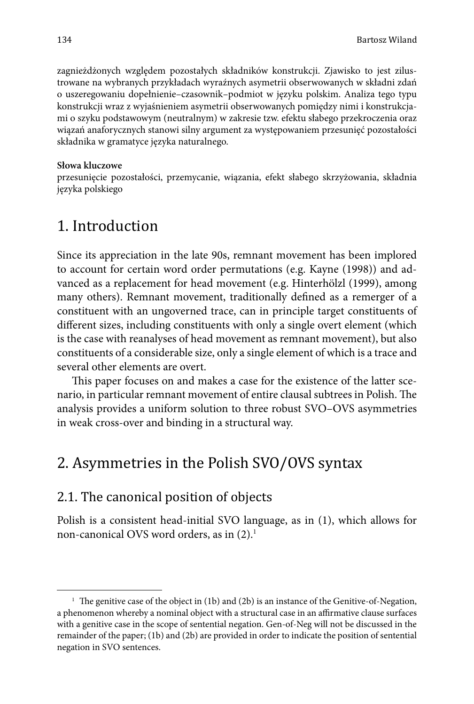zagnieżdżonych względem pozostałych składników konstrukcji. Zjawisko to jest zilustrowane na wybranych przykładach wyraźnych asymetrii obserwowanych w składni zdań o uszeregowaniu dopełnienie–czasownik–podmiot w języku polskim. Analiza tego typu konstrukcji wraz z wyjaśnieniem asymetrii obserwowanych pomiędzy nimi i konstrukcjami o szyku podstawowym (neutralnym) w zakresie tzw. efektu słabego przekroczenia oraz wiązań anaforycznych stanowi silny argument za występowaniem przesunięć pozostałości składnika w gramatyce języka naturalnego.

#### **Słowa kluczowe**

przesunięcie pozostałości, przemycanie, wiązania, efekt słabego skrzyżowania, składnia języka polskiego

## 1. Introduction

Since its appreciation in the late 90s, remnant movement has been implored to account for certain word order permutations (e.g. Kayne (1998)) and advanced as a replacement for head movement (e.g. Hinterhölzl (1999), among many others). Remnant movement, traditionally defined as a remerger of a constituent with an ungoverned trace, can in principle target constituents of different sizes, including constituents with only a single overt element (which is the case with reanalyses of head movement as remnant movement), but also constituents of a considerable size, only a single element of which is a trace and several other elements are overt.

This paper focuses on and makes a case for the existence of the latter scenario, in particular remnant movement of entire clausal subtrees in Polish. The analysis provides a uniform solution to three robust SVO–OVS asymmetries in weak cross-over and binding in a structural way.

## 2. Asymmetries in the Polish SVO/OVS syntax

#### 2.1. The canonical position of objects

Polish is a consistent head-initial SVO language, as in (1), which allows for non-canonical OVS word orders, as in  $(2)$ .<sup>1</sup>

<sup>&</sup>lt;sup>1</sup> The genitive case of the object in (1b) and (2b) is an instance of the Genitive-of-Negation, a phenomenon whereby a nominal object with a structural case in an affirmative clause surfaces with a genitive case in the scope of sentential negation. Gen-of-Neg will not be discussed in the remainder of the paper; (1b) and (2b) are provided in order to indicate the position of sentential negation in SVO sentences.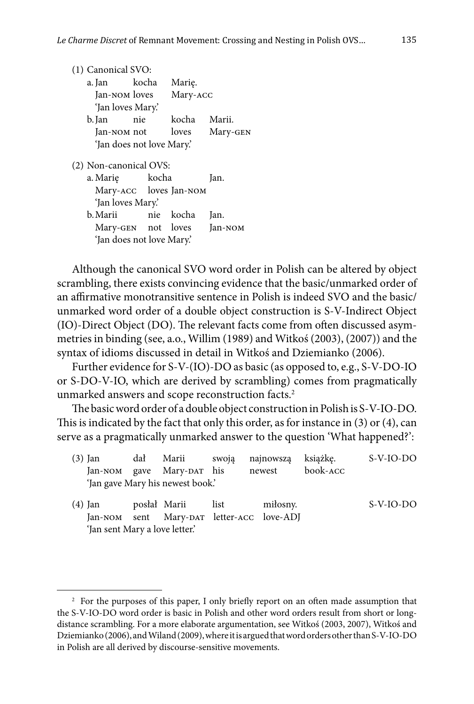| (1) Canonical SVO:                               |  |           |          |  |  |  |
|--------------------------------------------------|--|-----------|----------|--|--|--|
| a. Jan kocha                                     |  | Marie.    |          |  |  |  |
| Jan-NOM loves                                    |  | Mary-ACC  |          |  |  |  |
| 'Jan loves Mary.'                                |  |           |          |  |  |  |
| b. Jan<br>nie                                    |  | kocha     | Marii.   |  |  |  |
| Jan-NOM not                                      |  | loves     | Mary-GEN |  |  |  |
| 'Jan does not love Mary'.                        |  |           |          |  |  |  |
| (2) Non-canonical OVS:<br>a. Marie kocha<br>Jan. |  |           |          |  |  |  |
| Mary-ACC loves Jan-NOM                           |  |           |          |  |  |  |
| 'Jan loves Mary.'                                |  |           |          |  |  |  |
| b. Marii                                         |  | nie kocha | Jan.     |  |  |  |
| Mary-GEN not loves                               |  |           | Jan-NOM  |  |  |  |
| 'Jan does not love Mary.'                        |  |           |          |  |  |  |

Although the canonical SVO word order in Polish can be altered by object scrambling, there exists convincing evidence that the basic/unmarked order of an affirmative monotransitive sentence in Polish is indeed SVO and the basic/ unmarked word order of a double object construction is S-V-Indirect Object (IO)-Direct Object (DO). The relevant facts come from often discussed asymmetries in binding (see, a.o., Willim (1989) and Witkoś (2003), (2007)) and the syntax of idioms discussed in detail in Witkoś and Dziemianko (2006).

Further evidence for S-V-(IO)-DO as basic (as opposed to, e.g., S-V-DO-IO or S-DO-V-IO, which are derived by scrambling) comes from pragmatically unmarked answers and scope reconstruction facts.<sup>2</sup>

The basic word order of a double object construction in Polish is S-V-IO-DO. This is indicated by the fact that only this order, as for instance in  $(3)$  or  $(4)$ , can serve as a pragmatically unmarked answer to the question 'What happened?':

| $(3)$ Jan | dał Marii swoją najnowszą        |                                           | książke. | S-V-IO-DO   |
|-----------|----------------------------------|-------------------------------------------|----------|-------------|
|           | Jan-NOM gave Mary-DAT his        | newest                                    | book-ACC |             |
|           | 'Jan gave Mary his newest book.' |                                           |          |             |
| $(4)$ Jan | posłał Marii list                | miłosny.                                  |          | $S-V-IO-DO$ |
|           |                                  | Jan-NOM sent Mary-DAT letter-ACC love-ADJ |          |             |

<sup>&#</sup>x27;Jan sent Mary a love letter.'

 $2^2$  For the purposes of this paper, I only briefly report on an often made assumption that the S-V-IO-DO word order is basic in Polish and other word orders result from short or longdistance scrambling. For a more elaborate argumentation, see Witkoś (2003, 2007), Witkoś and Dziemianko (2006), and Wiland (2009), where it is argued that word orders other than S-V-IO-DO in Polish are all derived by discourse-sensitive movements.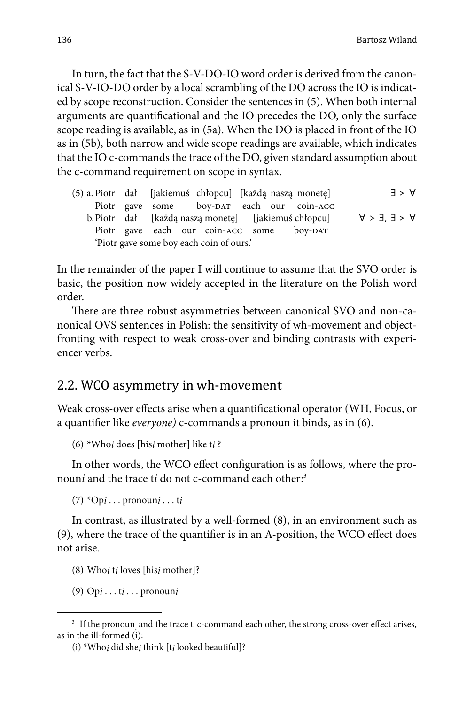In turn, the fact that the S-V-DO-IO word order is derived from the canonical S-V-IO-DO order by a local scrambling of the DO across the IO is indicated by scope reconstruction. Consider the sentences in (5). When both internal arguments are quantificational and the IO precedes the DO, only the surface scope reading is available, as in (5a). When the DO is placed in front of the IO as in (5b), both narrow and wide scope readings are available, which indicates that the IO c-commands the trace of the DO, given standard assumption about the c-command requirement on scope in syntax.

|  |                                          | (5) a. Piotr dał [jakiemuś chłopcu] [każdą naszą monetę] |                                                      | $\exists$ > $\forall$ |
|--|------------------------------------------|----------------------------------------------------------|------------------------------------------------------|-----------------------|
|  |                                          | Piotr gave some boy-DAT each our coin-ACC                |                                                      |                       |
|  |                                          |                                                          | b. Piotr dał [każdą naszą monetę] [jakiemuś chłopcu] | $A > 3'$ $3 > A$      |
|  |                                          | Piotr gave each our coin-ACC some boy-DAT                |                                                      |                       |
|  | 'Piotr gave some boy each coin of ours.' |                                                          |                                                      |                       |

In the remainder of the paper I will continue to assume that the SVO order is basic, the position now widely accepted in the literature on the Polish word order.

There are three robust asymmetries between canonical SVO and non-canonical OVS sentences in Polish: the sensitivity of wh-movement and objectfronting with respect to weak cross-over and binding contrasts with experiencer verbs.

#### 2.2. WCO asymmetry in wh-movement

Weak cross-over effects arise when a quantificational operator (WH, Focus, or a quantifier like *everyone*) c-commands a pronoun it binds, as in (6).

(6) \*Who*i* does [his*i* mother] like t*i* ?

In other words, the WCO effect configuration is as follows, where the pronoun*i* and the trace t*i* do not c-command each other:<sup>3</sup>

(7) \*Op*i* . . . pronoun*i* . . . t*i*

In contrast, as illustrated by a well-formed (8), in an environment such as  $(9)$ , where the trace of the quantifier is in an A-position, the WCO effect does not arise.

- (8) Who*i* t*i* loves [his*i* mother]?
- (9) Op*i* . . . t*i* . . . pronoun*i*

<sup>&</sup>lt;sup>3</sup> If the pronoun<sub>*i*</sub> and the trace t<sub>*i*</sub> c-command each other, the strong cross-over effect arises, as in the ill-formed (i):

<sup>(</sup>i) \*Who*i* did she*i* think [t*i* looked beautiful]?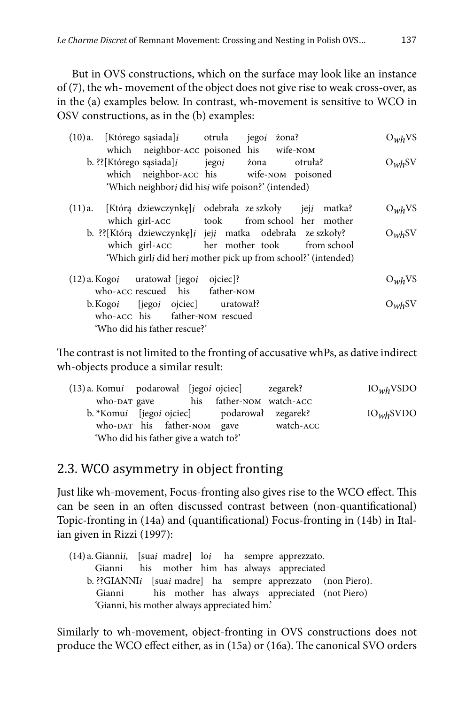But in OVS constructions, which on the surface may look like an instance of (7), the wh- movement of the object does not give rise to weak cross-over, as in the (a) examples below. In contrast, wh-movement is sensitive to WCO in OSV constructions, as in the (b) examples:

| $(10)a$ . [Którego sąsiada] <i>i</i> otruła                   | zona?<br>jego <sub>i</sub> |         | $O_{wh}VS$ |
|---------------------------------------------------------------|----------------------------|---------|------------|
| which neighbor-ACC poisoned his wife-NOM                      |                            |         |            |
| b. ?? [Którego sąsiada] $i$ jego $i$                          | żona                       | otruła? | $O_{wh}SV$ |
| which neighbor-ACC his wife-NOM poisoned                      |                            |         |            |
| 'Which neighbori did hisi wife poison?' (intended)            |                            |         |            |
| (11)a. [Którą dziewczynkę]i odebrała ze szkoły jeji matka?    |                            |         | $O_{wh}VS$ |
| which girl-ACC took from school her mother                    |                            |         |            |
| b. ??[Którą dziewczynkę]i jeji matka odebrała ze szkoły?      |                            |         | $O_{wh}SV$ |
| which girl-ACC her mother took from school                    |                            |         |            |
| 'Which girli did heri mother pick up from school?' (intended) |                            |         |            |

| $(12)$ a. Kogo $i$ uratował [jego $i$ ojciec]? |  | $O_{wh}VS$ |
|------------------------------------------------|--|------------|
| who-ACC rescued his father-NOM                 |  |            |
| b. Kogoi [jegoi ojciec] uratował?              |  | $O_{wh}SV$ |
| who-ACC his father-NOM rescued                 |  |            |
| 'Who did his father rescue?'                   |  |            |

The contrast is not limited to the fronting of accusative whPs, as dative indirect wh-objects produce a similar result:

| (13) a. Komui podarował [jegoi ojciec] zegarek? |                             |                                                             |           | IO <sub>wh</sub> VSDO |
|-------------------------------------------------|-----------------------------|-------------------------------------------------------------|-----------|-----------------------|
| who-DAT gave                                    |                             | his father-NOM watch-ACC                                    |           |                       |
|                                                 |                             | b. *Komu <i>i</i> [jego <i>i</i> ojciec] podarował zegarek? |           | IO <sub>wh</sub> SVDO |
|                                                 | who-DAT his father-NOM gave |                                                             | watch-ACC |                       |
| 'Who did his father give a watch to?'           |                             |                                                             |           |                       |

## 2.3. WCO asymmetry in object fronting

Just like wh-movement, Focus-fronting also gives rise to the WCO effect. This can be seen in an often discussed contrast between (non-quantificational) Topic-fronting in (14a) and (quantificational) Focus-fronting in (14b) in Italian given in Rizzi (1997):

(14) a. Gianni*i*, [sua*i* madre] lo*i* ha sempre apprezzato. Gianni his mother him has always appreciated b. ??GIANNI*i* [sua*i* madre] ha sempre apprezzato (non Piero). Gianni his mother has always appreciated (not Piero) 'Gianni, his mother always appreciated him.'

Similarly to wh-movement, object-fronting in OVS constructions does not produce the WCO effect either, as in (15a) or (16a). The canonical SVO orders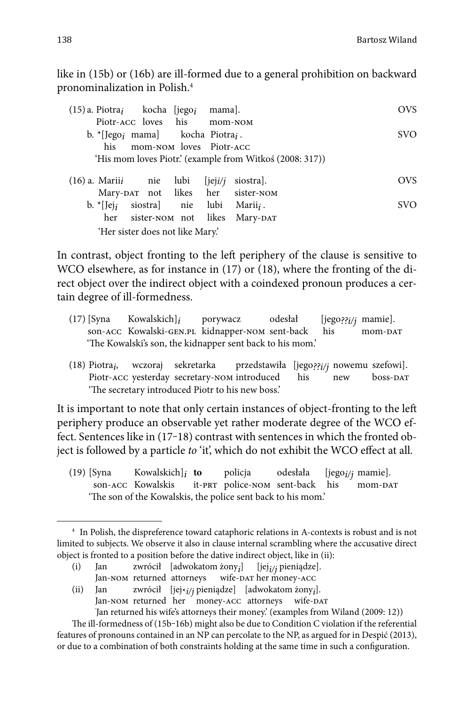like in (15b) or (16b) are ill-formed due to a general prohibition on backward pronominalization in Polish.4

| $(15)$ a. Piotra <sub>i</sub> kocha [jego <sub>i</sub> mama].         | <b>OVS</b>             |
|-----------------------------------------------------------------------|------------------------|
| Piotr-ACC loves his mom-NOM                                           |                        |
| b. * [Jego <sub>i</sub> mama] kocha Piotra <sub>i</sub> .             | <b>SVO</b>             |
| his mom-NOM loves Piotr-ACC                                           |                        |
| 'His mom loves Piotr' (example from Witkoś (2008: 317))               |                        |
| $(16)$ a. Mariii nie lubi [jeji/j                                     | <b>OVS</b><br>siostra. |
| Mary-DAT not likes her sister-NOM                                     |                        |
| siostra) nie lubi Marii <sub>i</sub> .<br>b. $\vert$ Iej <sub>i</sub> | <b>SVO</b>             |
| her sister-NOM not likes Mary-DAT                                     |                        |
| 'Her sister does not like Mary'.                                      |                        |

In contrast, object fronting to the left periphery of the clause is sensitive to WCO elsewhere, as for instance in (17) or (18), where the fronting of the direct object over the indirect object with a coindexed pronoun produces a certain degree of ill-formedness.

- (17) [Syna Kowalskich]*i* porywacz odesłał [jego*??i/j* mamie]. son-ACC Kowalski-GEN.PL kidnapper-NOM sent-back 'The Kowalski's son, the kidnapper sent back to his mom.'
- (18) Piotra*i*, wczoraj sekretarka przedstawiła [jego*??i/j* nowemu szefowi]. Piotr-ACC yesterday secretary-NOM introduced 'The secretary introduced Piotr to his new boss.'

It is important to note that only certain instances of object-fronting to the left periphery produce an observable yet rather moderate degree of the WCO effect. Sentences like in (17-18) contrast with sentences in which the fronted object is followed by a particle *to* 'it', which do not exhibit the WCO effect at all.

(19) [Syna Kowalskich]*i* **to** policja odesłała [jego*i/j* mamie]. it-prt police-nom sent-back his 'The son of the Kowalskis, the police sent back to his mom.'

- (i) Jan zwrócił [adwokatom żony<sub>*i*</sub>] [jej<sub>i/j</sub> pieniądze]<br>Jan-NOM returned attorneys wife-DAT her money-ACC ] [jej*i/j* pieniądze].
- Jan-NOM returned attorneys

(ii) Jan zwrócił [jej\**i/j* pieniądze] [adwokatom żony*i* ]. Jan-NOM returned her money-ACC attorneys wife-DAT

' Jan returned his wife's attorneys their money.' (examples from Wiland (2009: 12))

<sup>4</sup> In Polish, the dispreference toward cataphoric relations in A-contexts is robust and is not limited to subjects. We observe it also in clause internal scrambling where the accusative direct object is fronted to a position before the dative indirect object, like in (ii):

The ill-formedness of  $(15b-16b)$  might also be due to Condition C violation if the referential features of pronouns contained in an NP can percolate to the NP, as argued for in Despić (2013), or due to a combination of both constraints holding at the same time in such a configuration.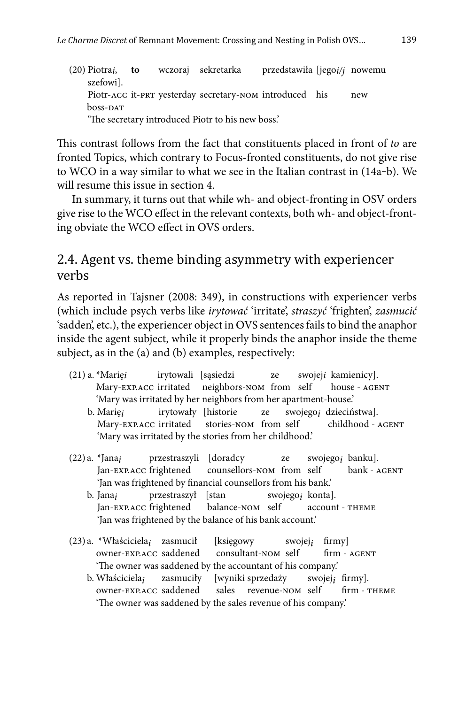(20) Piotra*i*, **to** wczoraj sekretarka przedstawiła [jego*i/j* nowemu szefowi]. Piotr-ACC it-PRT yesterday secretary-NOM introduced his new boss-DAT 'The secretary introduced Piotr to his new boss.'

This contrast follows from the fact that constituents placed in front of *to* are fronted Topics, which contrary to Focus-fronted constituents, do not give rise to WCO in a way similar to what we see in the Italian contrast in  $(14a-b)$ . We will resume this issue in section 4.

In summary, it turns out that while wh- and object-fronting in OSV orders give rise to the WCO effect in the relevant contexts, both wh- and object-fronting obviate the WCO effect in OVS orders.

## 2.4. Agent vs. theme binding asymmetry with experiencer verbs

As reported in Tajsner (2008: 349), in constructions with experiencer verbs (which include psych verbs like *irytować* 'irritate', *straszyć* 'frighten', *zasmucić* 'sadden', etc.), the experiencer object in OVS sentences fails to bind the anaphor inside the agent subject, while it properly binds the anaphor inside the theme subject, as in the (a) and (b) examples, respectively:

- (21) a. \*Marię*i* irytowali [sąsiedzi ze swojej*i* kamienicy]. Mary-EXP.ACC irritated neighbors-NOM from self house - AGENT 'Mary was irritated by her neighbors from her apartment-house.'
	- b. Marię*i* irytowały [historie ze swojego*i* dzieciństwa]. Mary-EXP.ACC irritated 'Mary was irritated by the stories from her childhood.'
- (22) a. \*Jana*i* przestraszyli [doradcy ze swojego*i* banku]. counsellors-nom from self 'Jan was frightened by financial counsellors from his bank.'
	- b. Jana*i* przestraszył [stan swojego*i* konta]. Jan-exp.acc frightened 'Jan was frightened by the balance of his bank account.'
- (23) a. \*Właściciela<sub>i</sub> zasmucił [księgowy swojej<sub>i</sub> firmy]<br>
owner-EXP.ACC saddened consultant-NOM self firm AGENT owner-EXP.ACC saddened 'The owner was saddened by the accountant of his company.'
	- b. Właściciela<sub>i</sub> zasmuciły [wyniki-sprzedaży swojej<sub>i</sub> firmy].<br>
	owner-EXP.ACC saddened sales revenue-NOM self firm-THEME sales revenue-nom self 'The owner was saddened by the sales revenue of his company.'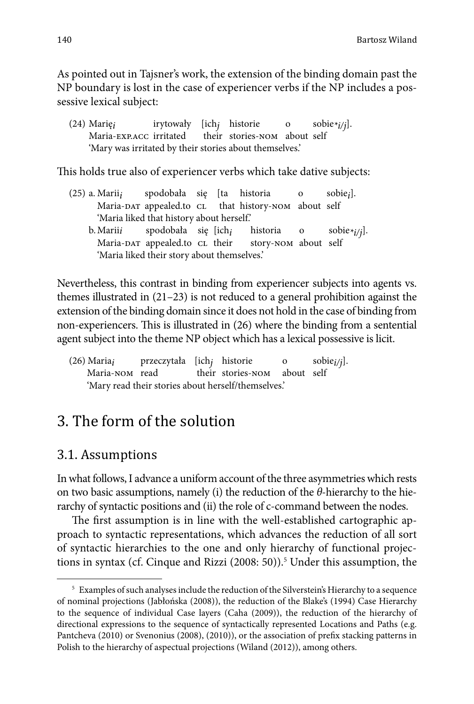As pointed out in Tajsner's work, the extension of the binding domain past the NP boundary is lost in the case of experiencer verbs if the NP includes a possessive lexical subject:

(24) Marię*i* irytowały [ich*j* historie o sobie*\*i/j*]. their stories-nom about self 'Mary was irritated by their stories about themselves.'

This holds true also of experiencer verbs which take dative subjects:

(25) a. Marii*i* spodobała się [ta historia o sobie*i*]. that history-nom about self 'Maria liked that history about herself.' b. Marii*i* spodobała się [ich*i* historia o sobie*\*i/j*]. Maria-DAT appealed.to CL their story-NOM about self 'Maria liked their story about themselves.'

Nevertheless, this contrast in binding from experiencer subjects into agents vs. themes illustrated in (21–23) is not reduced to a general prohibition against the extension of the binding domain since it does not hold in the case of binding from non-experiencers. This is illustrated in (26) where the binding from a sentential agent subject into the theme NP object which has a lexical possessive is licit.

(26) Maria*i* przeczytała [ich*j* historie o sobie*i/j*]. their stories-nom about self 'Mary read their stories about herself/themselves.'

## 3. The form of the solution

#### 3.1. Assumptions

In what follows, I advance a uniform account of the three asymmetries which rests on two basic assumptions, namely (i) the reduction of the *θ*-hierarchy to the hierarchy of syntactic positions and (ii) the role of c-command between the nodes.

The first assumption is in line with the well-established cartographic approach to syntactic representations, which advances the reduction of all sort of syntactic hierarchies to the one and only hierarchy of functional projections in syntax (cf. Cinque and Rizzi (2008: 50)).<sup>5</sup> Under this assumption, the

<sup>&</sup>lt;sup>5</sup> Examples of such analyses include the reduction of the Silverstein's Hierarchy to a sequence of nominal projections (Jabłońska (2008)), the reduction of the Blake's (1994) Case Hierarchy to the sequence of individual Case layers (Caha (2009)), the reduction of the hierarchy of directional expressions to the sequence of syntactically represented Locations and Paths (e.g. Pantcheva (2010) or Svenonius (2008), (2010)), or the association of prefix stacking patterns in Polish to the hierarchy of aspectual projections (Wiland (2012)), among others.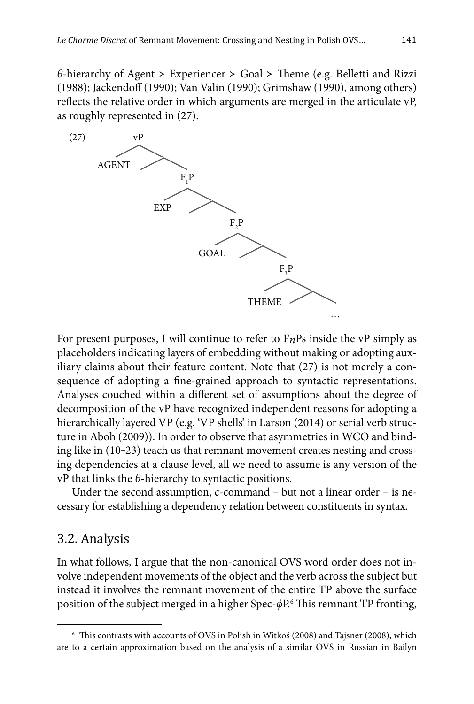*θ*-hierarchy of Agent > Experiencer > Goal > Theme (e.g. Belletti and Rizzi (1988); Jackendoff (1990); Van Valin (1990); Grimshaw (1990), among others) reflects the relative order in which arguments are merged in the articulate vP, as roughly represented in (27).



For present purposes, I will continue to refer to F*n*Ps inside the vP simply as placeholders indicating layers of embedding without making or adopting auxiliary claims about their feature content. Note that (27) is not merely a consequence of adopting a fine-grained approach to syntactic representations. Analyses couched within a different set of assumptions about the degree of decomposition of the vP have recognized independent reasons for adopting a hierarchically layered VP (e.g. 'VP shells' in Larson (2014) or serial verb structure in Aboh (2009)). In order to observe that asymmetries in WCO and binding like in (10-23) teach us that remnant movement creates nesting and crossing dependencies at a clause level, all we need to assume is any version of the vP that links the *θ*-hierarchy to syntactic positions.

Under the second assumption, c-command – but not a linear order – is necessary for establishing a dependency relation between constituents in syntax.

#### 3.2. Analysis

In what follows, I argue that the non-canonical OVS word order does not involve independent movements of the object and the verb across the subject but instead it involves the remnant movement of the entire TP above the surface position of the subject merged in a higher Spec- $\phi$ P.<sup>6</sup> This remnant TP fronting,

 $6$  This contrasts with accounts of OVS in Polish in Witkoś (2008) and Tajsner (2008), which are to a certain approximation based on the analysis of a similar OVS in Russian in Bailyn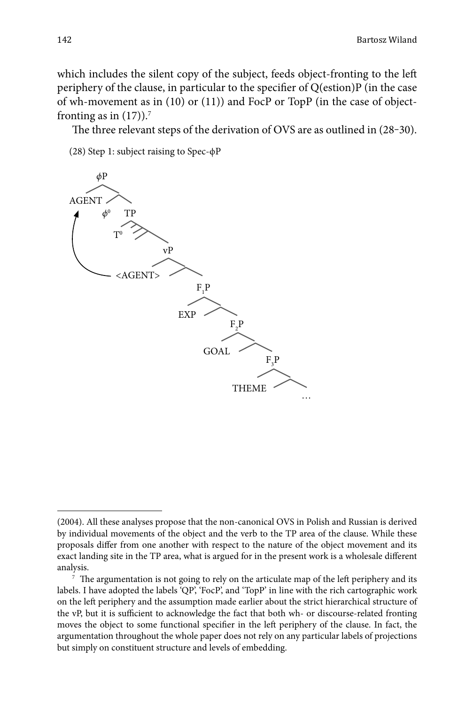which includes the silent copy of the subject, feeds object-fronting to the left periphery of the clause, in particular to the specifier of  $Q$ (estion) $P$  (in the case of wh-movement as in (10) or (11)) and FocP or TopP (in the case of objectfronting as in  $(17)$ ).<sup>7</sup>

The three relevant steps of the derivation of OVS are as outlined in  $(28-30)$ .

(28) Step 1: subject raising to Spec-ϕP



<sup>(2004).</sup> All these analyses propose that the non-canonical OVS in Polish and Russian is derived by individual movements of the object and the verb to the TP area of the clause. While these proposals differ from one another with respect to the nature of the object movement and its exact landing site in the TP area, what is argued for in the present work is a wholesale different analysis.

 $7$  The argumentation is not going to rely on the articulate map of the left periphery and its labels. I have adopted the labels 'QP', 'FocP', and 'TopP' in line with the rich cartographic work on the left periphery and the assumption made earlier about the strict hierarchical structure of the vP, but it is sufficient to acknowledge the fact that both wh- or discourse-related fronting moves the object to some functional specifier in the left periphery of the clause. In fact, the argumentation throughout the whole paper does not rely on any particular labels of projections but simply on constituent structure and levels of embedding.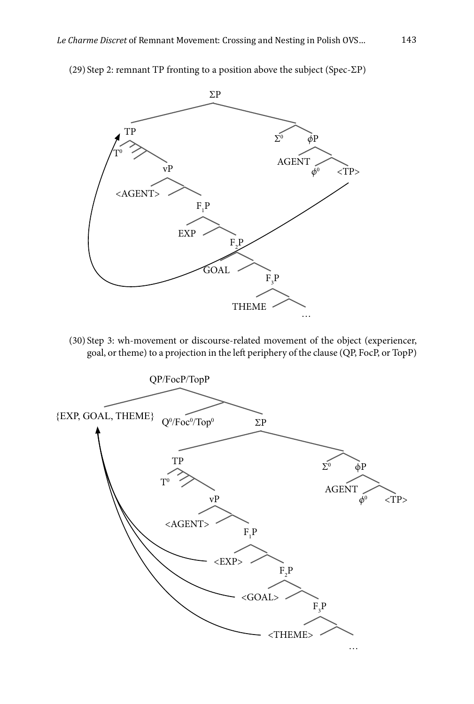

(29) Step 2: remnant TP fronting to a position above the subject (Spec-ΣP)

(30) Step 3: wh-movement or discourse-related movement of the object (experiencer, goal, or theme) to a projection in the left periphery of the clause (QP, FocP, or TopP)

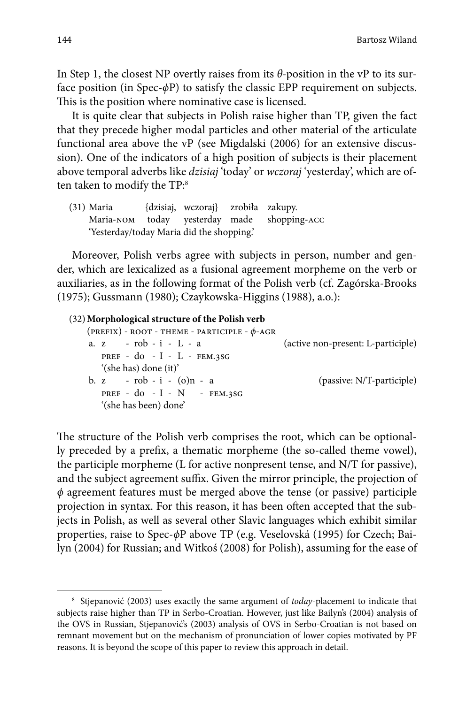In Step 1, the closest NP overtly raises from its *θ-*position in the vP to its surface position (in Spec-*ϕ*P) to satisfy the classic EPP requirement on subjects. This is the position where nominative case is licensed.

It is quite clear that subjects in Polish raise higher than TP, given the fact that they precede higher modal particles and other material of the articulate functional area above the vP (see Migdalski (2006) for an extensive discussion). One of the indicators of a high position of subjects is their placement above temporal adverbs like *dzisiaj* 'today' or *wczoraj* 'yesterday', which are often taken to modify the TP:8

(31) Maria {dzisiaj, wczoraj} zrobiła zakupy. Maria-nom today yesterday made shopping-acc 'Yesterday/today Maria did the shopping.'

Moreover, Polish verbs agree with subjects in person, number and gender, which are lexicalized as a fusional agreement morpheme on the verb or auxiliaries, as in the following format of the Polish verb (cf. Zagórska-Brooks (1975); Gussmann (1980); Czaykowska-Higgins (1988), a.o.):

```
(32) Morphological structure of the Polish verb
   (prefix) - root - theme - participle - ϕ-agr
   a. z - rob - i - L - a (active non-present: L-participle)
       pref - do - I - L - fem.3sg
       '(she has) done (it)'
   b. z - rob - i - (o)n - a (passive: N/T-participle)
       pref - do - I - N - fem.3sg
       '(she has been) done'
```
The structure of the Polish verb comprises the root, which can be optionally preceded by a prefix, a thematic morpheme (the so-called theme vowel), the participle morpheme (L for active nonpresent tense, and N/T for passive), and the subject agreement suffix. Given the mirror principle, the projection of *ϕ* agreement features must be merged above the tense (or passive) participle projection in syntax. For this reason, it has been often accepted that the subjects in Polish, as well as several other Slavic languages which exhibit similar properties, raise to Spec-*ϕ*P above TP (e.g. Veselovská (1995) for Czech; Bailyn (2004) for Russian; and Witkoś (2008) for Polish), assuming for the ease of

<sup>8</sup> Stjepanović (2003) uses exactly the same argument of *today*-placement to indicate that subjects raise higher than TP in Serbo-Croatian. However, just like Bailyn's (2004) analysis of the OVS in Russian, Stjepanović's (2003) analysis of OVS in Serbo-Croatian is not based on remnant movement but on the mechanism of pronunciation of lower copies motivated by PF reasons. It is beyond the scope of this paper to review this approach in detail.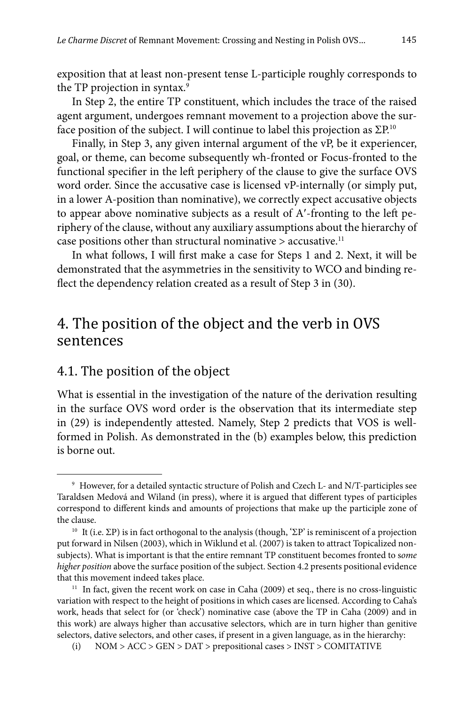exposition that at least non-present tense L-participle roughly corresponds to the TP projection in syntax.<sup>9</sup>

In Step 2, the entire TP constituent, which includes the trace of the raised agent argument, undergoes remnant movement to a projection above the surface position of the subject. I will continue to label this projection as  $\Sigma P^{10}$ 

Finally, in Step 3, any given internal argument of the vP, be it experiencer, goal, or theme, can become subsequently wh-fronted or Focus-fronted to the functional specifier in the left periphery of the clause to give the surface OVS word order. Since the accusative case is licensed vP-internally (or simply put, in a lower A-position than nominative), we correctly expect accusative objects to appear above nominative subjects as a result of A'-fronting to the left periphery of the clause, without any auxiliary assumptions about the hierarchy of case positions other than structural nominative  $>$  accusative.<sup>11</sup>

In what follows, I will first make a case for Steps 1 and 2. Next, it will be demonstrated that the asymmetries in the sensitivity to WCO and binding reflect the dependency relation created as a result of Step 3 in (30).

## 4. The position of the object and the verb in OVS sentences

#### 4.1. The position of the object

What is essential in the investigation of the nature of the derivation resulting in the surface OVS word order is the observation that its intermediate step in (29) is independently attested. Namely, Step 2 predicts that VOS is wellformed in Polish. As demonstrated in the (b) examples below, this prediction is borne out.

<sup>9</sup> However, for a detailed syntactic structure of Polish and Czech L- and N/T-participles see Taraldsen Medová and Wiland (in press), where it is argued that different types of participles correspond to different kinds and amounts of projections that make up the participle zone of the clause.

<sup>&</sup>lt;sup>10</sup> It (i.e. ΣP) is in fact orthogonal to the analysis (though, 'ΣP' is reminiscent of a projection put forward in Nilsen (2003), which in Wiklund et al. (2007) is taken to attract Topicalized nonsubjects). What is important is that the entire remnant TP constituent becomes fronted to s*ome higher position* above the surface position of the subject. Section 4.2 presents positional evidence that this movement indeed takes place.

 $11$  In fact, given the recent work on case in Caha (2009) et seq., there is no cross-linguistic variation with respect to the height of positions in which cases are licensed. According to Caha's work, heads that select for (or 'check') nominative case (above the TP in Caha (2009) and in this work) are always higher than accusative selectors, which are in turn higher than genitive selectors, dative selectors, and other cases, if present in a given language, as in the hierarchy:

<sup>(</sup>i) NOM > ACC > GEN > DAT > prepositional cases > INST > COMITATIVE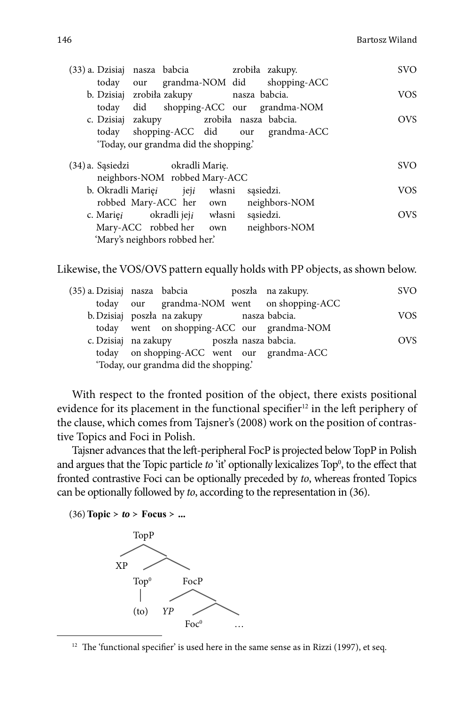|                                                     | (33) a. Dzisiaj nasza babcia zrobiła zakupy. |                                        | <b>SVO</b> |
|-----------------------------------------------------|----------------------------------------------|----------------------------------------|------------|
|                                                     |                                              | today our grandma-NOM did shopping-ACC |            |
|                                                     | b. Dzisiaj zrobiła zakupy nasza babcia.      |                                        | <b>VOS</b> |
| today                                               |                                              | did shopping-ACC our grandma-NOM       |            |
|                                                     | c. Dzisiaj zakupy zrobiła nasza babcia.      |                                        | <b>OVS</b> |
|                                                     |                                              | today shopping-ACC did our grandma-ACC |            |
|                                                     | 'Today, our grandma did the shopping.'       |                                        |            |
|                                                     |                                              |                                        |            |
| (34) a. Sąsiedzi bedarach zasiedzi z okradli Marię. |                                              |                                        | <b>SVO</b> |
|                                                     | neighbors-NOM robbed Mary-ACC                |                                        |            |
|                                                     | b. Okradli Marięi pieji własni               | sasiedzi.                              | <b>VOS</b> |
|                                                     | robbed Mary-ACC her own                      | neighbors-NOM                          |            |
|                                                     | c. Mariei okradli jeji własni                | sasiedzi.                              | <b>OVS</b> |
|                                                     | Mary-ACC robbed her own                      | neighbors-NOM                          |            |

Likewise, the VOS/OVS pattern equally holds with PP objects, as shown below.

| (35) a. Dzisiaj nasza babcia |                                           |  | poszła na zakupy.                          | <b>SVO</b> |
|------------------------------|-------------------------------------------|--|--------------------------------------------|------------|
|                              |                                           |  | today our grandma-NOM went on shopping-ACC |            |
|                              | b. Dzisiaj poszła na zakupy nasza babcia. |  |                                            | <b>VOS</b> |
|                              |                                           |  | today went on shopping-ACC our grandma-NOM |            |
|                              | c. Dzisiaj na zakupy boszła nasza babcia. |  |                                            | <b>OVS</b> |
|                              |                                           |  | today on shopping-ACC went our grandma-ACC |            |
|                              | 'Today, our grandma did the shopping.'    |  |                                            |            |

With respect to the fronted position of the object, there exists positional evidence for its placement in the functional specifier<sup>12</sup> in the left periphery of the clause, which comes from Tajsner's (2008) work on the position of contrastive Topics and Foci in Polish.

Tajsner advances that the left -peripheral FocP is projected below TopP in Polish and argues that the Topic particle *to* 'it' optionally lexicalizes Top<sup>0</sup>, to the effect that fronted contrastive Foci can be optionally preceded by *to*, whereas fronted Topics can be optionally followed by *to*, according to the representation in (36).

(36) **Topic** ≻ *to* ≻ **Focus** ≻ **...**



 $12$  The 'functional specifier' is used here in the same sense as in Rizzi (1997), et seq.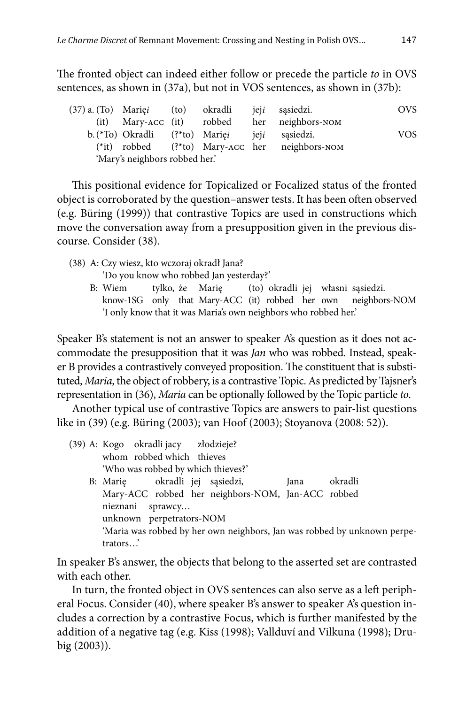The fronted object can indeed either follow or precede the particle *to* in OVS sentences, as shown in (37a), but not in VOS sentences, as shown in (37b):

(37) a. (To) Marię*i* (to) okradli jej*i* sąsiedzi. OVS (it) Mary-acc (it) robbed her neighbors-nom b. (\*To) Okradli (?\*to) Marię*i* jej*i* sąsiedzi. VOS (\*it) robbed (?\*to) Mary-acc her neighbors-nom 'Mary's neighbors robbed her.'

This positional evidence for Topicalized or Focalized status of the fronted object is corroborated by the question–answer tests. It has been often observed (e.g. Büring (1999)) that contrastive Topics are used in constructions which move the conversation away from a presupposition given in the previous discourse. Consider (38).

(38) A: Czy wiesz, kto wczoraj okradł Jana?

'Do you know who robbed Jan yesterday?'

 B: Wiem tylko, że Marię (to) okradli jej własni sąsiedzi. know-1SG only that Mary-ACC (it) robbed her own neighbors-NOM 'I only know that it was Maria's own neighbors who robbed her.'

Speaker B's statement is not an answer to speaker A's question as it does not accommodate the presupposition that it was *Jan* who was robbed. Instead, speaker B provides a contrastively conveyed proposition. The constituent that is substituted, *Maria*, the object of robbery, is a contrastive Topic. As predicted by Tajsner's representation in (36), *Maria* can be optionally followed by the Topic particle *to*.

Another typical use of contrastive Topics are answers to pair-list questions like in (39) (e.g. Büring (2003); van Hoof (2003); Stoyanova (2008: 52)).

- (39) A: Kogo okradli jacy złodzieje? whom robbed which thieves 'Who was robbed by which thieves?' B: Marię okradli jej sąsiedzi, Jana okradli
	- Mary-ACC robbed her neighbors-NOM, Jan-ACC robbed nieznani sprawcy… unknown perpetrators-NOM 'Maria was robbed by her own neighbors, Jan was robbed by unknown perpetrators…'

In speaker B's answer, the objects that belong to the asserted set are contrasted with each other.

In turn, the fronted object in OVS sentences can also serve as a left peripheral Focus. Consider (40), where speaker B's answer to speaker A's question includes a correction by a contrastive Focus, which is further manifested by the addition of a negative tag (e.g. Kiss (1998); Vallduví and Vilkuna (1998); Drubig (2003)).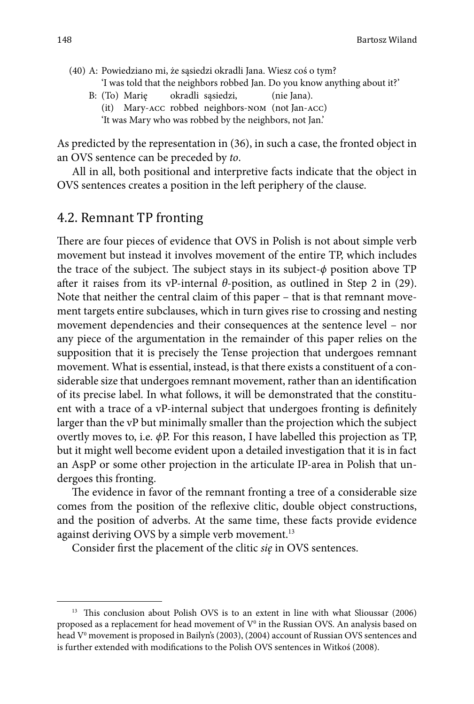- (40) A: Powiedziano mi, że sąsiedzi okradli Jana. Wiesz coś o tym? 'I was told that the neighbors robbed Jan. Do you know anything about it?'
	- B: (To) Marie okradli sąsiedzi, (nie Jana).
		- (it) Mary-acc robbed neighbors-nom (not Jan-acc) 'It was Mary who was robbed by the neighbors, not Jan.'

As predicted by the representation in (36), in such a case, the fronted object in an OVS sentence can be preceded by *to*.

All in all, both positional and interpretive facts indicate that the object in OVS sentences creates a position in the left periphery of the clause.

### 4.2. Remnant TP fronting

There are four pieces of evidence that OVS in Polish is not about simple verb movement but instead it involves movement of the entire TP, which includes the trace of the subject. The subject stays in its subject- $\phi$  position above TP after it raises from its vP-internal  $\theta$ -position, as outlined in Step 2 in (29). Note that neither the central claim of this paper – that is that remnant movement targets entire subclauses, which in turn gives rise to crossing and nesting movement dependencies and their consequences at the sentence level – nor any piece of the argumentation in the remainder of this paper relies on the supposition that it is precisely the Tense projection that undergoes remnant movement. What is essential, instead, is that there exists a constituent of a considerable size that undergoes remnant movement, rather than an identification of its precise label. In what follows, it will be demonstrated that the constituent with a trace of a vP-internal subject that undergoes fronting is definitely larger than the vP but minimally smaller than the projection which the subject overtly moves to, i.e. *ϕ*P. For this reason, I have labelled this projection as TP, but it might well become evident upon a detailed investigation that it is in fact an AspP or some other projection in the articulate IP-area in Polish that undergoes this fronting.

The evidence in favor of the remnant fronting a tree of a considerable size comes from the position of the reflexive clitic, double object constructions, and the position of adverbs. At the same time, these facts provide evidence against deriving OVS by a simple verb movement.<sup>13</sup>

Consider first the placement of the clitic *się* in OVS sentences.

<sup>&</sup>lt;sup>13</sup> This conclusion about Polish OVS is to an extent in line with what Slioussar (2006) proposed as a replacement for head movement of  $V^0$  in the Russian OVS. An analysis based on head V<sup>o</sup> movement is proposed in Bailyn's (2003), (2004) account of Russian OVS sentences and is further extended with modifications to the Polish OVS sentences in Witkoś (2008).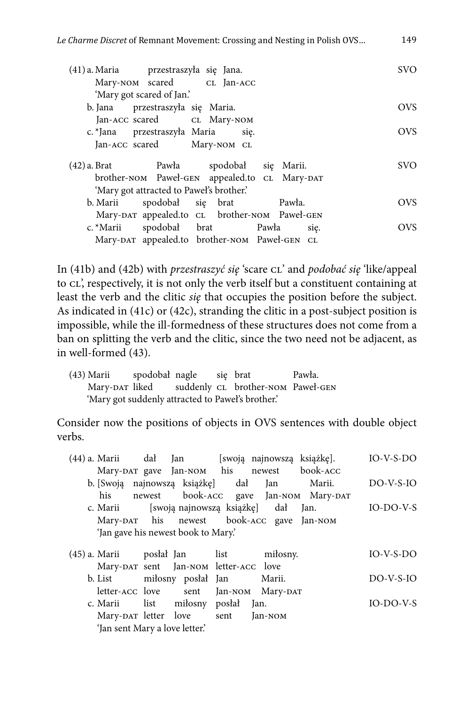| (41) a. Maria przestraszyła się Jana.<br>Mary-NOM scared CL Jan-ACC | SVO.       |
|---------------------------------------------------------------------|------------|
| 'Mary got scared of Jan.'                                           |            |
| b. Jana przestraszyła się Maria.                                    | OVS.       |
| Jan-ACC scared CL Mary-NOM                                          |            |
| c. *Jana przestraszyła Maria się.                                   | <b>OVS</b> |
| Jan-ACC scared Mary-NOM CL                                          |            |
| (42) a. Brat Pawła spodobał się Marii.                              | SVO.       |
| brother-NOM Paweł-GEN appealed.to CL Mary-DAT                       |            |
| 'Mary got attracted to Pawel's brother.'                            |            |
| spodobał się brat<br>Pawła.<br>b. Marii                             | OVS.       |
| Mary-DAT appealed.to CL brother-NOM Paweł-GEN                       |            |
| spodobał brat Pawła się.<br>c. *Marii                               | OVS.       |
| Mary-DAT appealed.to brother-NOM Paweł-GEN CL                       |            |

In (41b) and (42b) with *przestraszyć się* 'scare cl' and *podobać się* 'like/appeal to cL', respectively, it is not only the verb itself but a constituent containing at least the verb and the clitic *się* that occupies the position before the subject. As indicated in (41c) or (42c), stranding the clitic in a post-subject position is impossible, while the ill-formedness of these structures does not come from a ban on splitting the verb and the clitic, since the two need not be adjacent, as in well-formed (43).

| (43) Marii | spodobał nagle |  | sie brat                                          | Pawła. |
|------------|----------------|--|---------------------------------------------------|--------|
|            |                |  | Mary-DAT liked suddenly CL brother-NOM Paweł-GEN  |        |
|            |                |  | 'Mary got suddenly attracted to Pawel's brother.' |        |

Consider now the positions of objects in OVS sentences with double object verbs.

| (44) a. Marii dał Jan |                                     | [swoją najnowszą książkę].                  |                                       | $IO-V-S-DO$ |
|-----------------------|-------------------------------------|---------------------------------------------|---------------------------------------|-------------|
|                       |                                     | Mary-DAT gave Jan-NOM his newest book-ACC   |                                       |             |
|                       |                                     | b. [Swoją najnowszą książkę] dał Jan Marii. |                                       | $DO-V-S-IO$ |
| his                   |                                     |                                             | newest book-ACC gave Jan-NOM Mary-DAT |             |
|                       |                                     | c. Marii [swoją najnowszą książkę] dał Jan. |                                       | $IO-DO-V-S$ |
|                       |                                     | Mary-DAT his newest book-ACC gave Jan-NOM   |                                       |             |
|                       | 'Jan gave his newest book to Mary.' |                                             |                                       |             |
|                       |                                     |                                             |                                       |             |

|                                | (45) a. Marii bosłał Jan list miłosny. | $IO-V-S-DO$ |
|--------------------------------|----------------------------------------|-------------|
|                                | Mary-DAT sent Jan-NOM letter-ACC love  |             |
|                                | b. List milosny poslał Jan Marii.      | $DO-V-S-IO$ |
|                                | letter-ACC love sent Jan-NOM Mary-DAT  |             |
|                                | c. Marii list miłosny posłał Jan.      | $IO-DO-V-S$ |
|                                | Mary-DAT letter love sent Jan-NOM      |             |
| 'Jan sent Mary a love letter.' |                                        |             |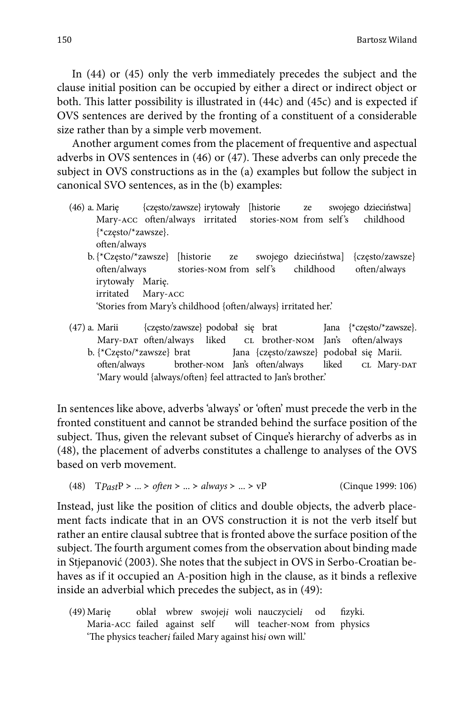In (44) or (45) only the verb immediately precedes the subject and the clause initial position can be occupied by either a direct or indirect object or both. This latter possibility is illustrated in (44c) and (45c) and is expected if OVS sentences are derived by the fronting of a constituent of a considerable size rather than by a simple verb movement.

Another argument comes from the placement of frequentive and aspectual adverbs in OVS sentences in (46) or (47). These adverbs can only precede the subject in OVS constructions as in the (a) examples but follow the subject in canonical SVO sentences, as in the (b) examples:

- (46) a. Marię {często/zawsze} irytowały [historie ze swojego dzieciństwa] Mary-ACC often/always irritated stories-NOM from self's childhood {\*często/\*zawsze}. often/always
	- b. {\*Często/\*zawsze} [historie ze swojego dzieciństwa] {często/zawsze} often/always stories-nom from self's childhood often/always irytowały Marię. irritated Mary-acc 'Stories from Mary's childhood {often/always} irritated her.'
- (47) a. Marii {często/zawsze} podobał się brat Jana {\*często/\*zawsze}. Mary-DAT often/always liked CL brother-NOM Jan's often/always b. {\*Często/\*zawsze} brat Jana {często/zawsze} podobał się Marii. often/always brother-nom Jan's often/always liked CL Mary-DAT 'Mary would {always/often} feel attracted to Jan's brother.'

In sentences like above, adverbs 'always' or 'often' must precede the verb in the fronted constituent and cannot be stranded behind the surface position of the subject. Thus, given the relevant subset of Cinque's hierarchy of adverbs as in (48), the placement of adverbs constitutes a challenge to analyses of the OVS based on verb movement.

(48) T*PastP* > ... > *often* > ... > *always* > ... > *vP* (Cinque 1999: 106)

Instead, just like the position of clitics and double objects, the adverb placement facts indicate that in an OVS construction it is not the verb itself but rather an entire clausal subtree that is fronted above the surface position of the subject. The fourth argument comes from the observation about binding made in Stjepanović (2003). She notes that the subject in OVS in Serbo-Croatian behaves as if it occupied an A-position high in the clause, as it binds a reflexive inside an adverbial which precedes the subject, as in (49):

(49) Marię oblał wbrew swojej*i* woli nauczyciel*i* od fizyki. Maria-acc failed against self will teacher-nom from physics 'The physics teacher*i* failed Mary against his*i* own will.'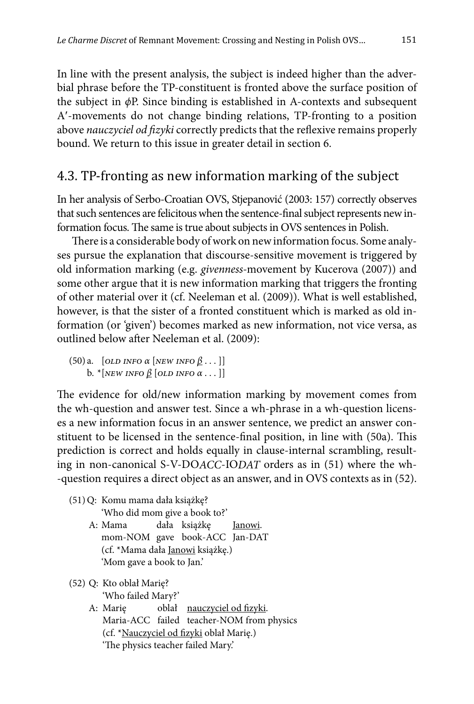In line with the present analysis, the subject is indeed higher than the adverbial phrase before the TP-constituent is fronted above the surface position of the subject in *ϕ*P. Since binding is established in A-contexts and subsequent A-movements do not change binding relations, TP-fronting to a position above nauczyciel od fizyki correctly predicts that the reflexive remains properly bound. We return to this issue in greater detail in section 6.

## 4.3. TP-fronting as new information marking of the subject

In her analysis of Serbo-Croatian OVS, Stjepanović (2003: 157) correctly observes that such sentences are felicitous when the sentence-final subject represents new information focus. The same is true about subjects in OVS sentences in Polish.

There is a considerable body of work on new information focus. Some analyses pursue the explanation that discourse-sensitive movement is triggered by old information marking (e.g. *givenness-*movement by Kucerova (2007)) and some other argue that it is new information marking that triggers the fronting of other material over it (cf. Neeleman et al. (2009)). What is well established, however, is that the sister of a fronted constituent which is marked as old information (or 'given') becomes marked as new information, not vice versa, as outlined below after Neeleman et al. (2009):

```
(50) a. *[old info α [new info β . . . ]]
    b. *[new info β [old info α . . . ]]
```
The evidence for old/new information marking by movement comes from the wh-question and answer test. Since a wh-phrase in a wh-question licenses a new information focus in an answer sentence, we predict an answer constituent to be licensed in the sentence-final position, in line with (50a). This prediction is correct and holds equally in clause-internal scrambling, resulting in non-canonical S-V-DO*ACC*-IO*DAT* orders as in (51) where the wh- -question requires a direct object as an answer, and in OVS contexts as in (52).

(51) Q: Komu mama dała książkę? 'Who did mom give a book to?' A: Mama dała książkę Janowi. mom-NOM gave book-ACC Jan-DAT (cf. \*Mama dała Janowi książkę.) 'Mom gave a book to Jan.'

(52) Q: Kto oblał Marię? 'Who failed Mary?'

> A: Marię oblał nauczyciel od fizyki. Maria-ACC failed teacher-NOM from physics (cf. \*Nauczyciel od fizyki oblał Marię.) 'The physics teacher failed Mary.'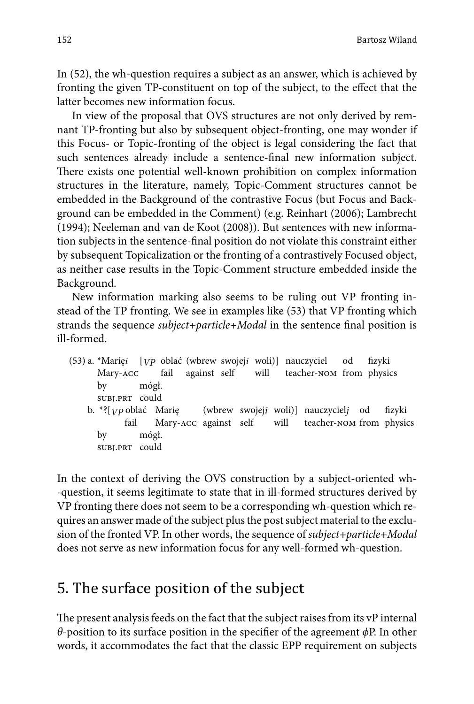In (52), the wh-question requires a subject as an answer, which is achieved by fronting the given TP-constituent on top of the subject, to the effect that the latter becomes new information focus.

In view of the proposal that OVS structures are not only derived by remnant TP-fronting but also by subsequent object-fronting, one may wonder if this Focus- or Topic-fronting of the object is legal considering the fact that such sentences already include a sentence-final new information subject. There exists one potential well-known prohibition on complex information structures in the literature, namely, Topic-Comment structures cannot be embedded in the Background of the contrastive Focus (but Focus and Background can be embedded in the Comment) (e.g. Reinhart (2006); Lambrecht (1994); Neeleman and van de Koot (2008)). But sentences with new information subjects in the sentence-final position do not violate this constraint either by subsequent Topicalization or the fronting of a contrastively Focused object, as neither case results in the Topic-Comment structure embedded inside the Background.

New information marking also seems to be ruling out VP fronting instead of the TP fronting. We see in examples like (53) that VP fronting which strands the sequence *subject+particle+Modal* in the sentence final position is ill-formed.

(53) a. \*Marię*i* [*VP* oblać (wbrew swojej*i* woli)] nauczyciel od fizyki<br>Mary-ACC fail against self will teacher-NOM from physic will teacher-nom from physics by mógł. subj.prt could b. \*?[*vp* oblać Marię (wbrew swojej*i* woli)] nauczyciel*j* od fizyki<br>fail Mary-ACC against self will teacher-NOM from physic teacher-nom from physics by mógł. subj.prt could

In the context of deriving the OVS construction by a subject-oriented wh- -question, it seems legitimate to state that in ill-formed structures derived by VP fronting there does not seem to be a corresponding wh-question which requires an answer made of the subject plus the post subject material to the exclusion of the fronted VP. In other words, the sequence of *subject+particle+Modal*  does not serve as new information focus for any well-formed wh-question.

## 5. The surface position of the subject

The present analysis feeds on the fact that the subject raises from its vP internal *θ*-position to its surface position in the specifier of the agreement *φ*P. In other words, it accommodates the fact that the classic EPP requirement on subjects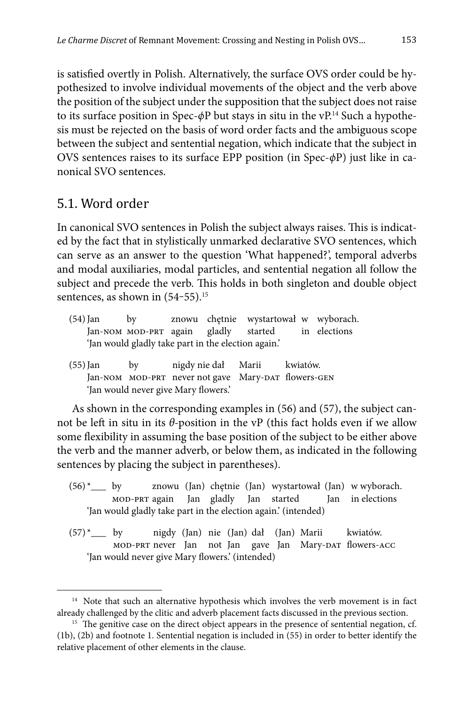is satisfied overtly in Polish. Alternatively, the surface OVS order could be hypothesized to involve individual movements of the object and the verb above the position of the subject under the supposition that the subject does not raise to its surface position in Spec-*ϕ*P but stays in situ in the vP.14 Such a hypothesis must be rejected on the basis of word order facts and the ambiguous scope between the subject and sentential negation, which indicate that the subject in OVS sentences raises to its surface EPP position (in Spec-*ϕ*P) just like in canonical SVO sentences.

### 5.1. Word order

In canonical SVO sentences in Polish the subject always raises. This is indicated by the fact that in stylistically unmarked declarative SVO sentences, which can serve as an answer to the question 'What happened?', temporal adverbs and modal auxiliaries, modal particles, and sentential negation all follow the subject and precede the verb. This holds in both singleton and double object sentences, as shown in  $(54-55).$ <sup>15</sup>

- (54) Jan by znowu chętnie wystartował w wyborach. Jan-NOM MOD-PRT again gladly started in elections 'Jan would gladly take part in the election again.'
- (55) Jan by nigdy nie dał Marii kwiatów. Jan-NOM MOD-PRT never not gave Mary-DAT flowers-GEN 'Jan would never give Mary flowers.'

As shown in the corresponding examples in (56) and (57), the subject cannot be left in situ in its *θ-*position in the vP (this fact holds even if we allow some flexibility in assuming the base position of the subject to be either above the verb and the manner adverb, or below them, as indicated in the following sentences by placing the subject in parentheses).

- $(56)^*$  by znowu (Jan) chętnie (Jan) wystartował (Jan) w wyborach. mod-prt again Jan gladly Jan started Jan in elections 'Jan would gladly take part in the election again.' (intended)
- (57) \*\_\_\_ by nigdy (Jan) nie (Jan) dał (Jan) Marii kwiatów. mod-prt never Jan not Jan gave Jan Mary-DAT flowers-ACC 'Jan would never give Mary flowers.' (intended)

<sup>&</sup>lt;sup>14</sup> Note that such an alternative hypothesis which involves the verb movement is in fact already challenged by the clitic and adverb placement facts discussed in the previous section.

<sup>&</sup>lt;sup>15</sup> The genitive case on the direct object appears in the presence of sentential negation, cf. (1b), (2b) and footnote 1. Sentential negation is included in (55) in order to better identify the relative placement of other elements in the clause.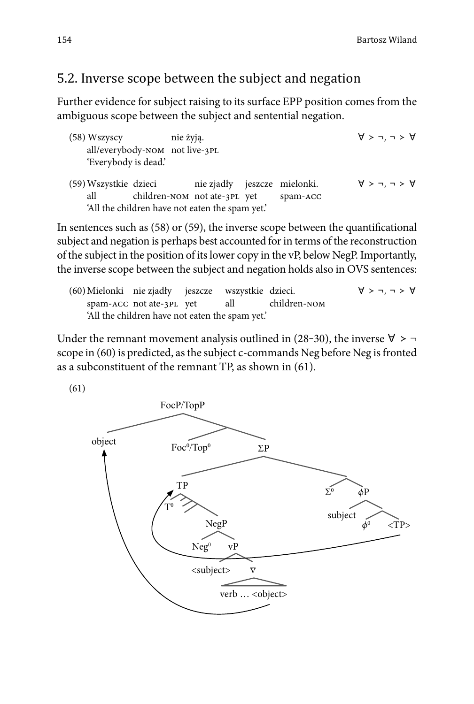## 5.2. Inverse scope between the subject and negation

Further evidence for subject raising to its surface EPP position comes from the ambiguous scope between the subject and sentential negation.

(58) Wszyscy nie żyją.  $\forall$  > ¬, ¬ >  $\forall$ all/everybody-nom not live-3pl 'Everybody is dead.' (59) Wszystkie dzieci nie zjadły jeszcze mielonki. ∀ ≻ ¬, ¬ ≻ ∀ all children-nom not ate-3pl yet spam-acc 'All the children have not eaten the spam yet.'

In sentences such as  $(58)$  or  $(59)$ , the inverse scope between the quantificational subject and negation is perhaps best accounted for in terms of the reconstruction of the subject in the position of its lower copy in the vP, below NegP. Importantly, the inverse scope between the subject and negation holds also in OVS sentences:

(60) Mielonki nie zjadły jeszcze wszystkie dzieci. ∀ ≻ ¬, ¬ ≻ ∀ spam-ACC not ate-3PL yet all children-NOM 'All the children have not eaten the spam yet.'

Under the remnant movement analysis outlined in (28–30), the inverse  $\forall$  > scope in (60) is predicted, as the subject c-commands Neg before Neg is fronted as a subconstituent of the remnant TP, as shown in (61).

(61)

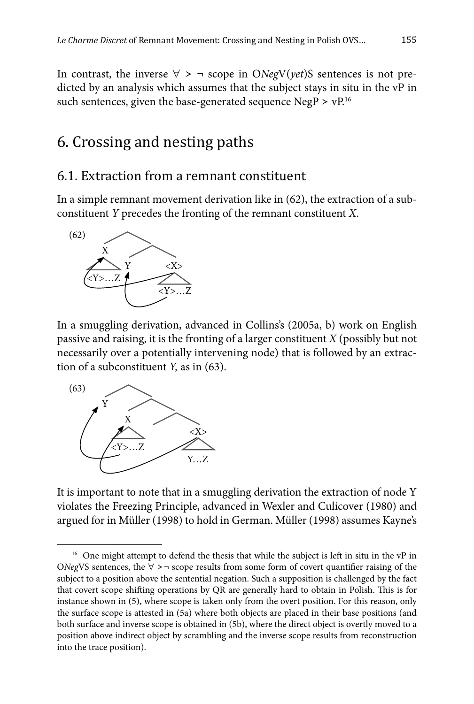In contrast, the inverse  $\forall$  > ¬ scope in O*NegV(yet)S* sentences is not predicted by an analysis which assumes that the subject stays in situ in the vP in such sentences, given the base-generated sequence NegP >  $vP^{16}$ 

## 6. Crossing and nesting paths

#### 6.1. Extraction from a remnant constituent

In a simple remnant movement derivation like in (62), the extraction of a subconstituent *Y* precedes the fronting of the remnant constituent *X*.



In a smuggling derivation, advanced in Collins's (2005a, b) work on English passive and raising, it is the fronting of a larger constituent *X* (possibly but not necessarily over a potentially intervening node) that is followed by an extraction of a subconstituent *Y,* as in (63).



It is important to note that in a smuggling derivation the extraction of node Y violates the Freezing Principle, advanced in Wexler and Culicover (1980) and argued for in Müller (1998) to hold in German. Müller (1998) assumes Kayne's

<sup>&</sup>lt;sup>16</sup> One might attempt to defend the thesis that while the subject is left in situ in the vP in O*Neg*VS sentences, the  $\forall$  >¬ scope results from some form of covert quantifier raising of the subject to a position above the sentential negation. Such a supposition is challenged by the fact that covert scope shifting operations by QR are generally hard to obtain in Polish. This is for instance shown in (5), where scope is taken only from the overt position. For this reason, only the surface scope is attested in (5a) where both objects are placed in their base positions (and both surface and inverse scope is obtained in (5b), where the direct object is overtly moved to a position above indirect object by scrambling and the inverse scope results from reconstruction into the trace position).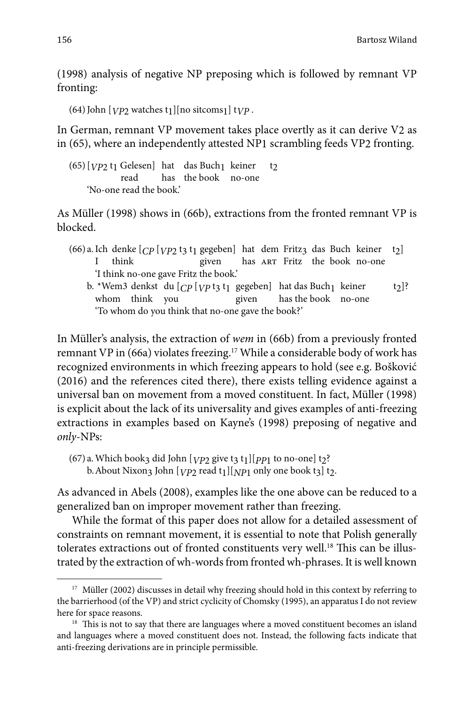(1998) analysis of negative NP preposing which is followed by remnant VP fronting:

 $(64)$  John  $[VP2]$  watches t<sub>1</sub>  $[no$  sitcoms<sub>1</sub> t<sub>*VP*</sub>.

In German, remnant VP movement takes place overtly as it can derive V2 as in (65), where an independently attested NP1 scrambling feeds VP2 fronting.

 $(65)$  [*VP*<sub>2</sub> t<sub>1</sub> Gelesen] hat das Buch<sub>1</sub> keiner t<sub>2</sub><br>read has the book no-one has the book no-one 'No-one read the book.'

As Müller (1998) shows in (66b), extractions from the fronted remnant VP is blocked.

- (66) a. Ich denke  $[CP [VP2 t3 t1]$  gegeben] hat dem Fritz<sub>3</sub> das Buch keiner t<sub>2</sub>]<br>I think given has ART Fritz the book no-one has ART Fritz the book no-one 'I think no-one gave Fritz the book.'
	- b. \*Wem3 denkst du  $[CP [VP \text{t3 t1 gegeben}]$  hat das Buch<sub>1</sub> keiner t<sub>2</sub>]?<br>whom think you given has the book no-one whom think you 'To whom do you think that no-one gave the book?'

In Mü ller's analysis, the extraction of *wem* in (66b) from a previously fronted remnant VP in (66a) violates freezing.17 While a considerable body of work has recognized environments in which freezing appears to hold (see e.g. Bošković (2016) and the references cited there), there exists telling evidence against a universal ban on movement from a moved constituent. In fact, Müller (1998) is explicit about the lack of its universality and gives examples of anti-freezing extractions in examples based on Kayne's (1998) preposing of negative and *only*-NPs:

As advanced in Abels (2008), examples like the one above can be reduced to a generalized ban on improper movement rather than freezing.

While the format of this paper does not allow for a detailed assessment of constraints on remnant movement, it is essential to note that Polish generally tolerates extractions out of fronted constituents very well.<sup>18</sup> This can be illustrated by the extraction of wh-words from fronted wh-phrases. It is well known

<sup>(67)</sup> a. Which book3 did John  $[VP2]$  give t3 t<sub>1</sub>][ $PP1$  to no-one] t<sub>2</sub>? b. About Nixon<sub>3</sub> John [*VP*<sub>2</sub> read t<sub>1</sub>][*NP*<sub>1</sub> only one book t<sub>3</sub>] t<sub>2</sub>.

<sup>&</sup>lt;sup>17</sup> Müller (2002) discusses in detail why freezing should hold in this context by referring to the barrierhood (of the VP) and strict cyclicity of Chomsky (1995), an apparatus I do not review here for space reasons.

 $18$  This is not to say that there are languages where a moved constituent becomes an island and languages where a moved constituent does not. Instead, the following facts indicate that anti-freezing derivations are in principle permissible.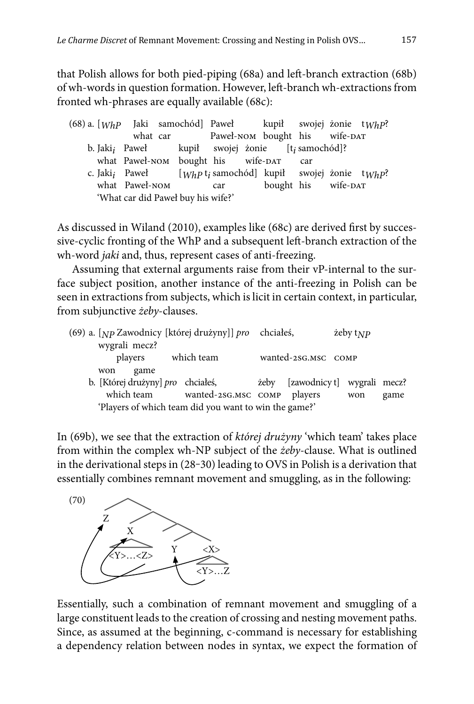that Polish allows for both pied-piping (68a) and left -branch extraction (68b) of wh-words in question formation. However, left -branch wh-extractions from fronted wh-phrases are equally available (68c):

| $(68)$ a. $[WhP$ Jaki samochód] Paweł kupił swojej żonie t $WhP$ ? |  |                                    |  |                                                                                   |  |  |
|--------------------------------------------------------------------|--|------------------------------------|--|-----------------------------------------------------------------------------------|--|--|
|                                                                    |  |                                    |  | what car  Paweł-NOM bought his  wife-DAT                                          |  |  |
|                                                                    |  |                                    |  | b. Jaki; Paweł kupił swojej żonie [t; samochód]?                                  |  |  |
|                                                                    |  |                                    |  | what Paweł-NOM bought his wife-DAT car                                            |  |  |
|                                                                    |  |                                    |  | c. Jaki <sub>i</sub> Paweł [Whp t <sub>i</sub> samochód] kupił swojej żonie twhp? |  |  |
|                                                                    |  | what Paweł-NOM car                 |  | bought his wife-DAT                                                               |  |  |
|                                                                    |  | 'What car did Paweł buy his wife?' |  |                                                                                   |  |  |

As discussed in Wiland (2010), examples like (68c) are derived first by successive-cyclic fronting of the WhP and a subsequent left -branch extraction of the wh-word *jaki* and, thus, represent cases of anti-freezing.

Assuming that external arguments raise from their vP-internal to the surface subject position, another instance of the anti-freezing in Polish can be seen in extractions from subjects, which is licit in certain context, in particular, from subjunctive *żeby*-clauses.

| (69) a. [Np Zawodnicy [której drużyny]] pro chciałeś,<br>wygrali mecz? |                             | $\text{zeby}\,\text{t}_{NP}$            |  |
|------------------------------------------------------------------------|-----------------------------|-----------------------------------------|--|
| players which team                                                     | wanted-2SG.MSC COMP         |                                         |  |
| game<br>won                                                            |                             |                                         |  |
| b. [Której drużyny] pro chciałeś,                                      |                             | <i>ieby</i> [zawodnicy t] wygrali mecz? |  |
| which team                                                             | wanted-2SG.MSC COMP players | game<br>won                             |  |
| 'Players of which team did you want to win the game?'                  |                             |                                         |  |

In (69b), we see that the extraction of *której drużyny* 'which team' takes place from within the complex wh-NP subject of the *żeby*-clause. What is outlined in the derivational steps in (28-30) leading to OVS in Polish is a derivation that essentially combines remnant movement and smuggling, as in the following:



Essentially, such a combination of remnant movement and smuggling of a large constituent leads to the creation of crossing and nesting movement paths. Since, as assumed at the beginning, c-command is necessary for establishing a dependency relation between nodes in syntax, we expect the formation of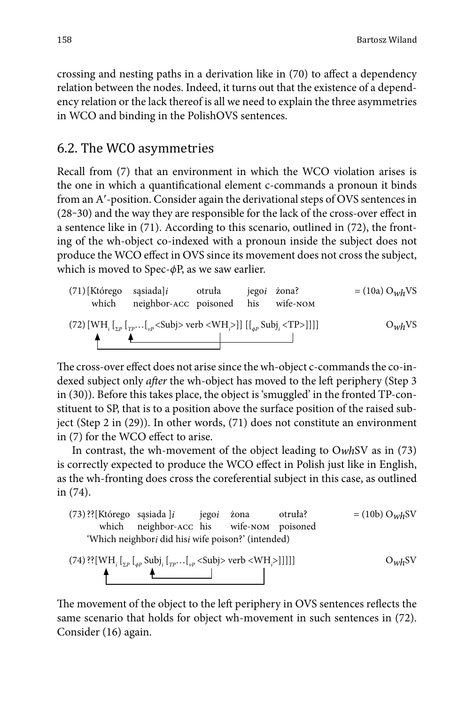crossing and nesting paths in a derivation like in (70) to affect a dependency relation between the nodes. Indeed, it turns out that the existence of a dependency relation or the lack thereof is all we need to explain the three asymmetries in WCO and binding in the PolishOVS sentences.

### 6.2. The WCO asymmetries

Recall from (7) that an environment in which the WCO violation arises is the one in which a quantificational element c-commands a pronoun it binds from an A'-position. Consider again the derivational steps of OVS sentences in  $(28-30)$  and the way they are responsible for the lack of the cross-over effect in a sentence like in (71). According to this scenario, outlined in (72), the fronting of the wh-object co-indexed with a pronoun inside the subject does not produce the WCO effect in OVS since its movement does not cross the subject, which is moved to Spec-*ϕ*P, as we saw earlier.

(71) [Którego sagisadal] *o* truła jego żona? = (10a) O<sub>wh</sub>VS  
which neighbor-ACC poisoned his wife-nom  
(72) [WH<sub>i</sub> [
$$
{}_{\Sigma P}
$$
 [ ${}_{\Gamma P}$ ... [ ${}_{\nu P}$  *<*Sub) $>$  verb *<*WH<sub>i</sub>]] [[ ${}_{\varphi P}$  Sub]<sub>i</sub> *<*TP>]]]] O<sub>wh</sub>VS

The cross-over effect does not arise since the wh-object c-commands the co-indexed subject only *after* the wh-object has moved to the left periphery (Step 3) in (30)). Before this takes place, the object is 'smuggled' in the fronted TP-constituent to SP, that is to a position above the surface position of the raised subject (Step 2 in (29)). In other words, (71) does not constitute an environment in (7) for the WCO effect to arise.

In contrast, the wh-movement of the object leading to O*wh*SV as in (73) is correctly expected to produce the WCO effect in Polish just like in English, as the wh-fronting does cross the coreferential subject in this case, as outlined in (74).



(74) 
$$
\left\{ \left[ \text{WH}_{i} \left[ \text{L}_{p} \right] \text{Subj}_{i} \left[ \text{L}_{p} \cdots \text{L}_{p} \right] \right] \right\}
$$
 O<sub>*wh*</sub>SV

The movement of the object to the left periphery in OVS sentences reflects the same scenario that holds for object wh-movement in such sentences in (72). Consider (16) again.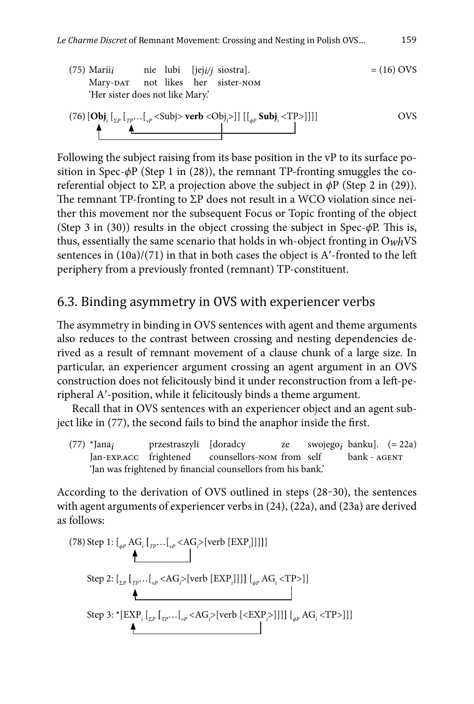(75) Marii*i* nie lubi [jej*i/j* siostra]. = (16) OVS Mary-DAT not likes her sister-NOM 'Her sister does not like Mary.'

(76) 
$$
\left[\mathbf{Obj}_i\left[\mathbf{I}_{\Sigma^p}\left[\mathbf{I}_{\Gamma^p}\dots\left[\mathbf{I}_{\nu^p}\right]\times\text{Subj}\right] \times \text{verb} < \text{Obj}_i\right] \right] \right]
$$

Following the subject raising from its base position in the vP to its surface position in Spec-*ϕ*P (Step 1 in (28)), the remnant TP-fronting smuggles the coreferential object to ΣP, a projection above the subject in *ϕ*P (Step 2 in (29)). The remnant TP-fronting to  $\Sigma$ P does not result in a WCO violation since neither this movement nor the subsequent Focus or Topic fronting of the object (Step 3 in (30)) results in the object crossing the subject in Spec-*ϕ*P. This is, thus, essentially the same scenario that holds in wh-object fronting in O*wh*VS sentences in  $(10a)/(71)$  in that in both cases the object is A'-fronted to the left periphery from a previously fronted (remnant) TP-constituent.

## 6.3. Binding asymmetry in OVS with experiencer verbs

The asymmetry in binding in OVS sentences with agent and theme arguments also reduces to the contrast between crossing and nesting dependencies derived as a result of remnant movement of a clause chunk of a large size. In particular, an experiencer argument crossing an agent argument in an OVS construction does not felicitously bind it under reconstruction from a left -peripheral A-position, while it felicitously binds a theme argument.

Recall that in OVS sentences with an experiencer object and an agent subject like in (77), the second fails to bind the anaphor inside the first.

(77) \*Jana*i* przestraszyli [doradcy ze swojego*i* banku]. (= 22a) counsellors-nom from self 'Jan was frightened by financial counsellors from his bank.'

According to the derivation of OVS outlined in steps (28-30), the sentences with agent arguments of experiencer verbs in (24), (22a), and (23a) are derived as follows:

(78) Step 1: 
$$
\left[\int_{\phi P} AG_i \left[\prod_{TP} \ldots \left[\prod_{\psi P} < AG_i \right] [\text{verb [EXP_i]]}] \right]\right]
$$
  
\nStep 2:  $\left[\prod_{\Sigma P} \left[\prod_{TP} \ldots \left[\prod_{\psi P} < AG_i \right] [\text{verb [EXP_i]]}] \right] \right] \left[\prod_{\phi P} AG_i < TP > \right]$   
\nStep 3: \* $\left[\text{EXP}_i \left[\prod_{\Sigma P} \left[\prod_{TP} \ldots \left[\prod_{\psi P} < AG_i \right] [\text{verb} \left[ < \text{EXP}_i \right]] \right] \right] \right] \left[\prod_{\phi P} AG_i < TP > \right]$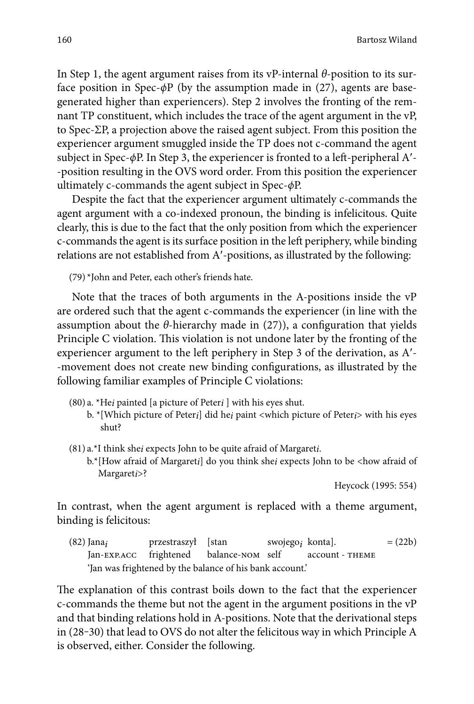In Step 1, the agent argument raises from its vP-internal *θ*-position to its surface position in Spec-*ϕ*P (by the assumption made in (27), agents are basegenerated higher than experiencers). Step 2 involves the fronting of the remnant TP constituent, which includes the trace of the agent argument in the vP, to Spec-ΣP, a projection above the raised agent subject. From this position the experiencer argument smuggled inside the TP does not c-command the agent subject in Spec-*ϕ*P. In Step 3, the experiencer is fronted to a left -peripheral A- -position resulting in the OVS word order. From this position the experiencer ultimately c-commands the agent subject in Spec-*ϕ*P.

Despite the fact that the experiencer argument ultimately c-commands the agent argument with a co-indexed pronoun, the binding is infelicitous. Quite clearly, this is due to the fact that the only position from which the experiencer c-commands the agent is its surface position in the left periphery, while binding relations are not established from A'-positions, as illustrated by the following:

(79) \*John and Peter, each other's friends hate.

Note that the traces of both arguments in the A-positions inside the vP are ordered such that the agent c-commands the experiencer (in line with the assumption about the  $\theta$ -hierarchy made in (27)), a configuration that yields Principle C violation. This violation is not undone later by the fronting of the experiencer argument to the left periphery in Step 3 of the derivation, as A'--movement does not create new binding configurations, as illustrated by the following familiar examples of Principle C violations:

- (80) a. \*He*i* painted [a picture of Peter*i* ] with his eyes shut.
	- b. \* [Which picture of Peter*i*] did he*i* paint <which picture of Peter*i*> with his eyes shut?
- (81) a.\*I think she*i* expects John to be quite afraid of Margaret*i*.
	- b.\* [How afraid of Margaret*i*] do you think she*i* expects John to be <how afraid of Margaret*i*>?

Heycock (1995: 554)

In contrast, when the agent argument is replaced with a theme argument, binding is felicitous:

(82) Jana<sub>i</sub> przestraszył [stan swojego<sub>i</sub> konta]. = (22b) Jan-EXP.ACC frightened balance-NOM self account - THEME balance-nom self 'Jan was frightened by the balance of his bank account.'

The explanation of this contrast boils down to the fact that the experiencer c-commands the theme but not the agent in the argument positions in the vP and that binding relations hold in A-positions. Note that the derivational steps in (28-30) that lead to OVS do not alter the felicitous way in which Principle A is observed, either. Consider the following.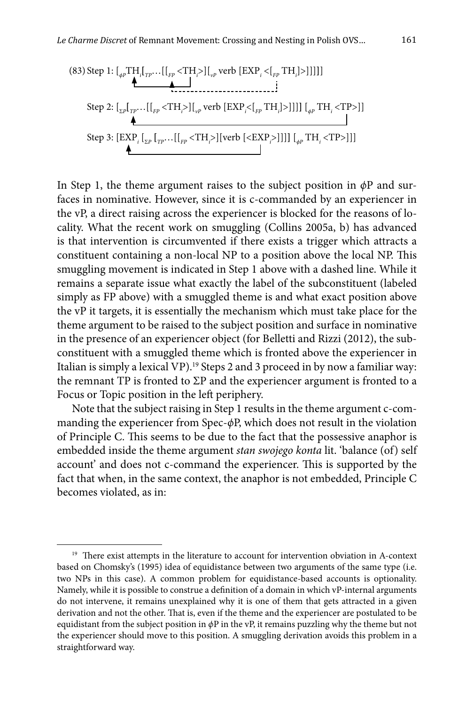(83) Step 1: 
$$
\left[\int_{\phi P} \mathbf{T} \mathbf{H}_{i}[\mathbf{I}_{TP} \dots [[_{FP} < \mathbf{H}_{i} >] \mathbf{I}_{vP} \text{ verb } [\text{EXP}_{i} < [\mathbf{I}_{FP} \text{TH}_{i}] >]]]\right]
$$
  
\nStep 2:  $\left[\int_{\Sigma P} \left[\mathbf{I}_{TP} \dots [\mathbf{I}_{FP} < \mathbf{H}_{i} >] \mathbf{I}_{vP} \text{ verb } [\text{EXP}_{i} < [\mathbf{I}_{FP} \text{TH}_{i}] >]]]\right] \right] \left[\int_{\phi P} \mathbf{T} \mathbf{H}_{i} < \mathbf{T} \mathbf{P} >]\right]$   
\nStep 3:  $\left[\text{EXP}_{i} \left[\mathbf{I}_{\Sigma P} [\mathbf{I}_{TP} \dots [\mathbf{I}_{FP} \text{TH}_{i} >] [\text{verb } [\text{EXP}_{i} >]]]\right] \right] \left[\mathbf{I}_{\phi P} \mathbf{T} \mathbf{H}_{i} < \mathbf{T} \mathbf{P} >]\right]$ 

In Step 1, the theme argument raises to the subject position in *ϕ*P and surfaces in nominative. However, since it is c-commanded by an experiencer in the vP, a direct raising across the experiencer is blocked for the reasons of locality. What the recent work on smuggling (Collins 2005a, b) has advanced is that intervention is circumvented if there exists a trigger which attracts a constituent containing a non-local NP to a position above the local NP. This smuggling movement is indicated in Step 1 above with a dashed line. While it remains a separate issue what exactly the label of the subconstituent (labeled simply as FP above) with a smuggled theme is and what exact position above the vP it targets, it is essentially the mechanism which must take place for the theme argument to be raised to the subject position and surface in nominative in the presence of an experiencer object (for Belletti and Rizzi (2012), the subconstituent with a smuggled theme which is fronted above the experiencer in Italian is simply a lexical VP).<sup>19</sup> Steps 2 and 3 proceed in by now a familiar way: the remnant TP is fronted to  $\Sigma$ P and the experiencer argument is fronted to a Focus or Topic position in the left periphery.

Note that the subject raising in Step 1 results in the theme argument c-commanding the experiencer from Spec-*ϕ*P, which does not result in the violation of Principle C. This seems to be due to the fact that the possessive anaphor is embedded inside the theme argument *stan swojego konta* lit. 'balance (of) self account' and does not c-command the experiencer. This is supported by the fact that when, in the same context, the anaphor is not embedded, Principle C becomes violated, as in:

<sup>&</sup>lt;sup>19</sup> There exist attempts in the literature to account for intervention obviation in A-context based on Chomsky's (1995) idea of equidistance between two arguments of the same type (i.e. two NPs in this case). A common problem for equidistance-based accounts is optionality. Namely, while it is possible to construe a definition of a domain in which vP-internal arguments do not intervene, it remains unexplained why it is one of them that gets attracted in a given derivation and not the other. That is, even if the theme and the experiencer are postulated to be equidistant from the subject position in *ϕ*P in the vP, it remains puzzling why the theme but not the experiencer should move to this position. A smuggling derivation avoids this problem in a straightforward way.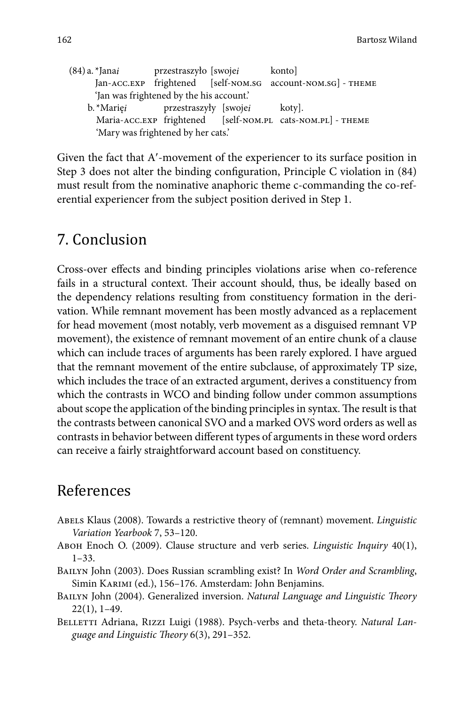| (84) a. *Jana <i>i</i> | przestraszyło [swoje <i>i</i>            | konto]                                                      |
|------------------------|------------------------------------------|-------------------------------------------------------------|
|                        |                                          | Jan-ACC.EXP frightened [self-NOM.SG account-NOM.SG] - THEME |
|                        | 'Jan was frightened by the his account.' |                                                             |
| b. *Mariei             | przestraszyły [swoje <i>i</i>            | koty].                                                      |
|                        |                                          | Maria-ACC.EXP frightened [self-NOM.PL cats-NOM.PL] - THEME  |
|                        | 'Mary was frightened by her cats.'       |                                                             |

Given the fact that A'-movement of the experiencer to its surface position in Step 3 does not alter the binding configuration, Principle C violation in  $(84)$ must result from the nominative anaphoric theme c-commanding the co-referential experiencer from the subject position derived in Step 1.

## 7. Conclusion

Cross-over effects and binding principles violations arise when co-reference fails in a structural context. Their account should, thus, be ideally based on the dependency relations resulting from constituency formation in the derivation. While remnant movement has been mostly advanced as a replacement for head movement (most notably, verb movement as a disguised remnant VP movement), the existence of remnant movement of an entire chunk of a clause which can include traces of arguments has been rarely explored. I have argued that the remnant movement of the entire subclause, of approximately TP size, which includes the trace of an extracted argument, derives a constituency from which the contrasts in WCO and binding follow under common assumptions about scope the application of the binding principles in syntax. The result is that the contrasts between canonical SVO and a marked OVS word orders as well as contrasts in behavior between different types of arguments in these word orders can receive a fairly straightforward account based on constituency.

## References

- Abels Klaus (2008). Towards a restrictive theory of (remnant) movement. *Linguistic Variation Yearbook* 7, 53–120.
- Aboh Enoch O. (2009). Clause structure and verb series. *Linguistic Inquiry* 40(1),  $1 - 33.$
- Bailyn John (2003). Does Russian scrambling exist? In *Word Order and Scrambling*, Simin KARIMI (ed.), 156-176. Amsterdam: John Benjamins.
- BAILYN John (2004). Generalized inversion. *Natural Language and Linguistic Theory* 22(1), 1–49.
- BELLETTI Adriana, RIZZI Luigi (1988). Psych-verbs and theta-theory. *Natural Language and Linguistic Th eory* 6(3), 291–352.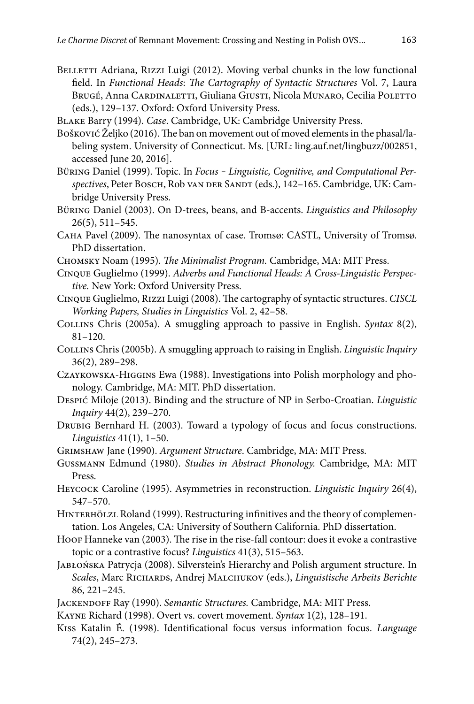- BELLETTI Adriana, RIZZI Luigi (2012). Moving verbal chunks in the low functional field. In *Functional Heads*: *The Cartography of Syntactic Structures Vol. 7*, Laura BRUGÉ, Anna CARDINALETTI, Giuliana GIUSTI, Nicola MUNARO, Cecilia POLETTO (eds.), 129–137. Oxford: Oxford University Press.
- Blake Barry (1994). *Case*. Cambridge, UK: Cambridge University Press.
- Bošković Željko (2016). The ban on movement out of moved elements in the phasal/labeling system. University of Connecticut. Ms. [URL: ling.auf.net/lingbuzz/002851, accessed June 20, 2016].
- Büring Daniel (1999). Topic. In *Focus Linguistic*, *Cognitive*, and *Computational Per*spectives, Peter BOSCH, Rob van DER SANDT (eds.), 142-165. Cambridge, UK: Cambridge University Press.
- Büring Daniel (2003). On D-trees, beans, and B-accents. *Linguistics and Philosophy* 26(5), 511–545.
- САНА Pavel (2009). The nanosyntax of case. Tromsø: CASTL, University of Tromsø. PhD dissertation.
- CHOMSKY Noam (1995). *The Minimalist Program*. Cambridge, MA: MIT Press.
- Cinque Guglielmo (1999). *Adverbs and Functional Heads: A Cross-Linguistic Perspective.* New York: Oxford University Press.
- CINQUE Guglielmo, RIZZI Luigi (2008). The cartography of syntactic structures. *CISCL Working Papers, Studies in Linguistics* Vol. 2, 42–58.
- Collins Chris (2005a). A smuggling approach to passive in English. *Syntax* 8(2), 81–120.
- Collins Chris (2005b). A smuggling approach to raising in English. *Linguistic Inquiry* 36(2), 289–298.
- Czaykowska-Higgins Ewa (1988). Investigations into Polish morphology and phonology. Cambridge, MA: MIT. PhD dissertation.
- Despić Miloje (2013). Binding and the structure of NP in Serbo-Croatian. *Linguistic Inquiry* 44(2), 239–270.
- Drubig Bernhard H. (2003). Toward a typology of focus and focus constructions. *Linguistics* 41(1), 1–50.
- Grimshaw Jane (1990). *Argument Structure*. Cambridge, MA: MIT Press.
- Gussmann Edmund (1980). *Studies in Abstract Phonology.* Cambridge, MA: MIT Press.
- Heycock Caroline (1995). Asymmetries in reconstruction. *Linguistic Inquiry* 26(4), 547–570.
- HINTERHÖLZL Roland (1999). Restructuring infinitives and the theory of complementation. Los Angeles, CA: University of Southern California. PhD dissertation.
- Hoof Hanneke van (2003). The rise in the rise-fall contour: does it evoke a contrastive topic or a contrastive focus? *Linguistics* 41(3), 515–563.
- Jabłońska Patrycja (2008). Silverstein's Hierarchy and Polish argument structure. In *Scales*, Marc Richards, Andrej Malchukov (eds.), *Linguistische Arbeits Berichte* 86, 221–245.
- Jackendoff Ray (1990). *Semantic Structures.* Cambridge, MA: MIT Press.
- Kayne Richard (1998). Overt vs. covert movement. *Syntax* 1(2), 128–191.
- Kiss Katalin É. (1998). Identificational focus versus information focus. *Language* 74(2), 245–273.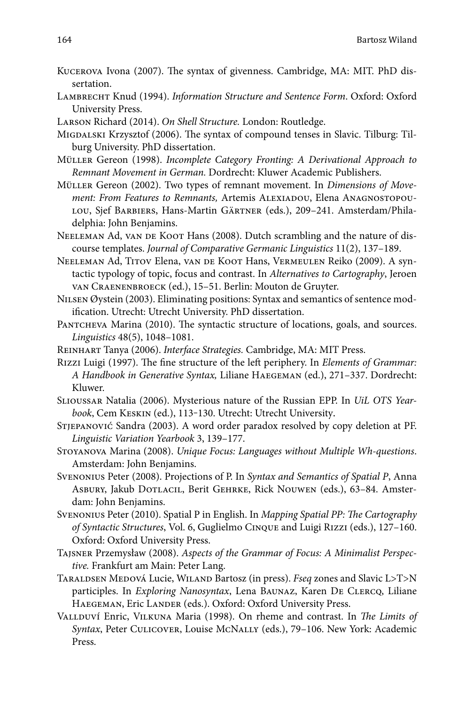- KUCEROVA Ivona (2007). The syntax of givenness. Cambridge, MA: MIT. PhD dissertation.
- Lambrecht Knud (1994). *Information Structure and Sentence Form*. Oxford: Oxford University Press.
- Larson Richard (2014). *On Shell Structure.* London: Routledge.
- MIGDALSKI Krzysztof (2006). The syntax of compound tenses in Slavic. Tilburg: Tilburg University. PhD dissertation.
- Müller Gereon (1998). *Incomplete Category Fronting: A Derivational Approach to Remnant Movement in German.* Dordrecht: Kluwer Academic Publishers.
- Müller Gereon (2002). Two types of remnant movement. In *Dimensions of Move*ment: From Features to Remnants, Artemis ALEXIADOU, Elena ANAGNOSTOPOUlou, Sjef Barbiers, Hans-Martin Gärtner (eds.), 209–241. Amsterdam/Philadelphia: John Benjamins.
- NEELEMAN Ad, VAN DE KOOT Hans (2008). Dutch scrambling and the nature of discourse templates. *Journal of Comparative Germanic Linguistics* 11(2), 137–189.
- Neeleman Ad, Titov Elena, van de Koot Hans, Vermeulen Reiko (2009). A syntactic typology of topic, focus and contrast. In *Alternatives to Cartography*, Jeroen van Craenenbroeck (ed.), 15–51. Berlin: Mouton de Gruyter.
- Nilsen Øystein (2003). Eliminating positions: Syntax and semantics of sentence modification. Utrecht: Utrecht University. PhD dissertation.
- PANTCHEVA Marina (2010). The syntactic structure of locations, goals, and sources. *Linguistics* 48(5), 1048–1081.
- Reinhart Tanya (2006). *Interface Strategies.* Cambridge, MA: MIT Press.
- RIZZI Luigi (1997). The fine structure of the left periphery. In *Elements of Grammar*: *A Handbook in Generative Syntax,* Liliane Haegeman (ed.), 271–337. Dordrecht: Kluwer.
- Slioussar Natalia (2006). Mysterious nature of the Russian EPP. In *UiL OTS Yearbook*, Cem Keskin (ed.), 113‒130. Utrecht: Utrecht University.
- Stjepanović Sandra (2003). A word order paradox resolved by copy deletion at PF. *Linguistic Variation Yearbook* 3, 139–177.
- Stoyanova Marina (2008). *Unique Focus: Languages without Multiple Wh-questions*. Amsterdam: John Benjamins.
- Svenonius Peter (2008). Projections of P. In *Syntax and Semantics of Spatial P*, Anna Asbury, Jakub Dotlacil, Berit Gehrke, Rick Nouwen (eds.), 63–84. Amsterdam: John Benjamins.
- Svenonius Peter (2010). Spatial P in English. In *Mapping Spatial PP: The Cartography of Syntactic Structures*, Vol. 6, Guglielmo Cinque and Luigi Rizzi (eds.), 127–160. Oxford: Oxford University Press.
- Tajsner Przemysław (2008). *Aspects of the Grammar of Focus: A Minimalist Perspective.* Frankfurt am Main: Peter Lang.
- Taraldsen Medová Lucie, Wiland Bartosz (in press). *Fseq* zones and Slavic L>T>N participles. In *Exploring Nanosyntax*, Lena Baunaz, Karen De Clercq, Liliane HAEGEMAN, Eric LANDER (eds.). Oxford: Oxford University Press.
- VALLDUVÍ Enric, VILKUNA Maria (1998). On rheme and contrast. In *The Limits of Syntax*, Peter Culicover, Louise McNally (eds.), 79–106. New York: Academic Press.